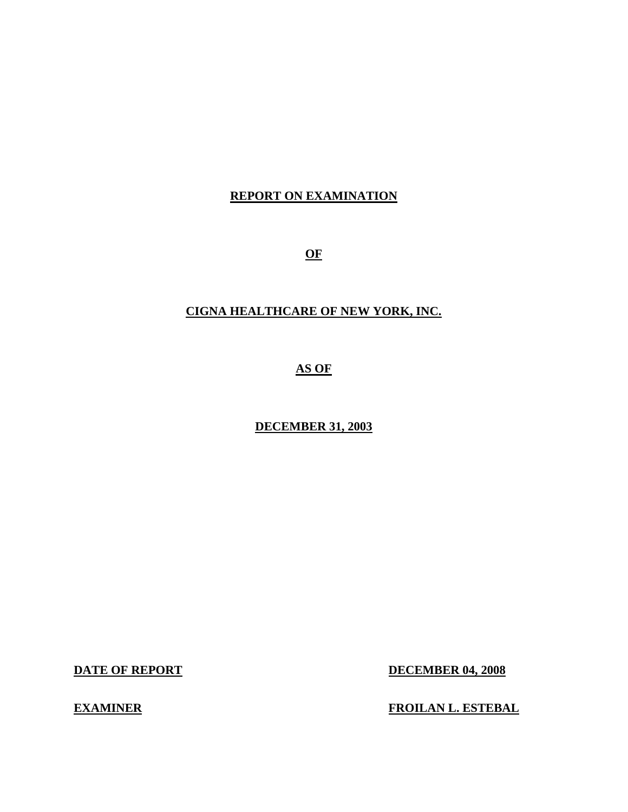### **REPORT ON EXAMINATION**

**OF** 

## **CIGNA HEALTHCARE OF NEW YORK, INC.**

**AS OF** 

**DECEMBER 31, 2003** 

**DATE OF REPORT DECEMBER 04, 2008** 

**EXAMINER EXAMINER FROILAN L. ESTEBAL**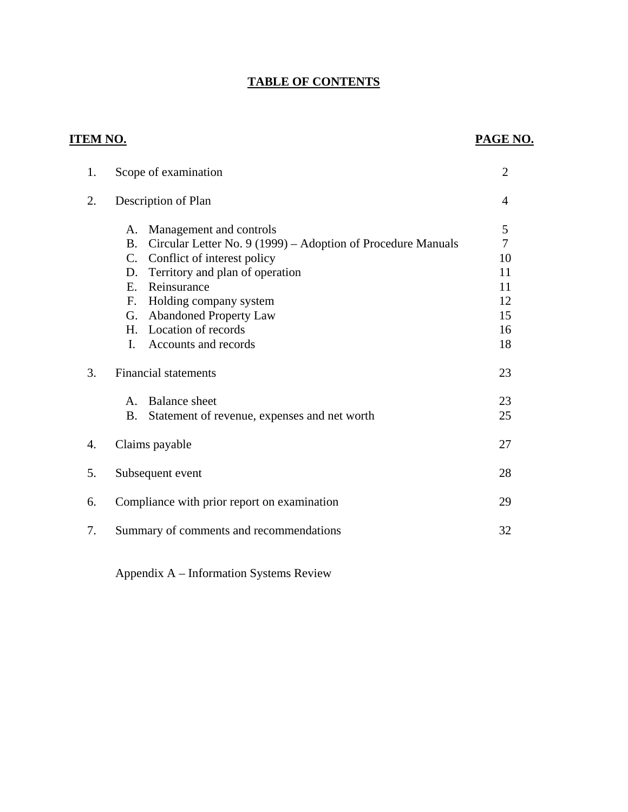## **TABLE OF CONTENTS**

| ITEM NO. |                                                                                                                                                                                                                                                                                                                            | PAGE NO.                                                |
|----------|----------------------------------------------------------------------------------------------------------------------------------------------------------------------------------------------------------------------------------------------------------------------------------------------------------------------------|---------------------------------------------------------|
| 1.       | Scope of examination                                                                                                                                                                                                                                                                                                       | $\overline{2}$                                          |
| 2.       | Description of Plan                                                                                                                                                                                                                                                                                                        | $\overline{4}$                                          |
|          | Management and controls<br>A.<br>Circular Letter No. 9 (1999) - Adoption of Procedure Manuals<br><b>B.</b><br>Conflict of interest policy<br>$C_{\cdot}$<br>Territory and plan of operation<br>D.<br>Reinsurance<br>E.<br>Holding company system<br>F.<br><b>Abandoned Property Law</b><br>G.<br>Location of records<br>H. | 5<br>$\overline{7}$<br>10<br>11<br>11<br>12<br>15<br>16 |
| 3.       | I.<br>Accounts and records<br><b>Financial statements</b>                                                                                                                                                                                                                                                                  | 18<br>23                                                |
|          | <b>Balance</b> sheet<br>$\mathsf{A}$ .<br>Statement of revenue, expenses and net worth<br><b>B.</b>                                                                                                                                                                                                                        | 23<br>25                                                |
| 4.       | Claims payable                                                                                                                                                                                                                                                                                                             | 27                                                      |
| 5.       | Subsequent event                                                                                                                                                                                                                                                                                                           | 28                                                      |
| 6.       | Compliance with prior report on examination                                                                                                                                                                                                                                                                                | 29                                                      |
| 7.       | Summary of comments and recommendations                                                                                                                                                                                                                                                                                    | 32                                                      |

Appendix A – Information Systems Review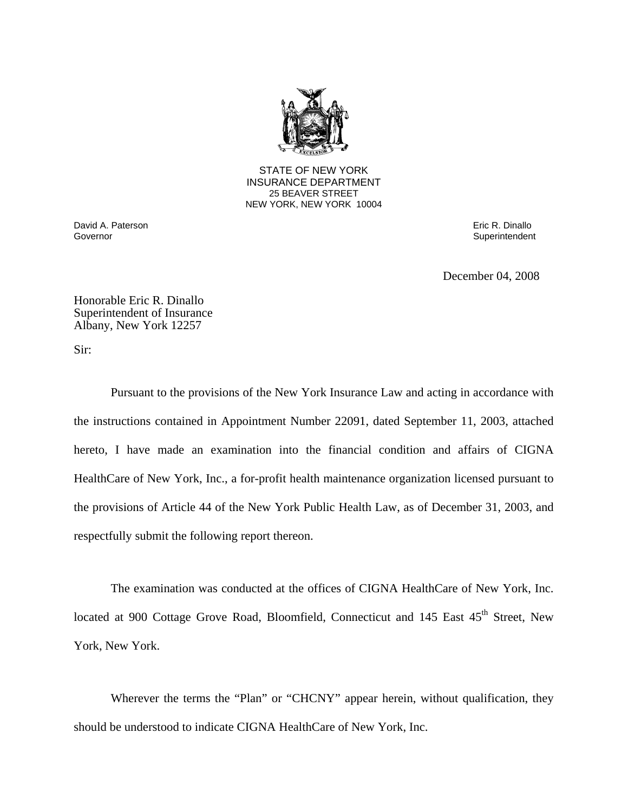

**25 BEAVER STREET** STATE OF NEW YORK INSURANCE DEPARTMENT NEW YORK, NEW YORK 10004

David A. Paterson **Exercía e a Constantino A. Paterson Eric R. Dinallo**<br>Governor **Exercía e a Constantino A. Dinallo** Governor **Exercía e a Constantino A. Constantino A. Constantino A.** 

Superintendent

December 04, 2008

Honorable Eric R. Dinallo Superintendent of Insurance Albany, New York 12257

Sir:

Pursuant to the provisions of the New York Insurance Law and acting in accordance with the instructions contained in Appointment Number 22091, dated September 11, 2003, attached hereto, I have made an examination into the financial condition and affairs of CIGNA HealthCare of New York, Inc., a for-profit health maintenance organization licensed pursuant to the provisions of Article 44 of the New York Public Health Law, as of December 31, 2003, and respectfully submit the following report thereon.

The examination was conducted at the offices of CIGNA HealthCare of New York, Inc. located at 900 Cottage Grove Road, Bloomfield, Connecticut and 145 East 45<sup>th</sup> Street, New York, New York.

Wherever the terms the "Plan" or "CHCNY" appear herein, without qualification, they should be understood to indicate CIGNA HealthCare of New York, Inc.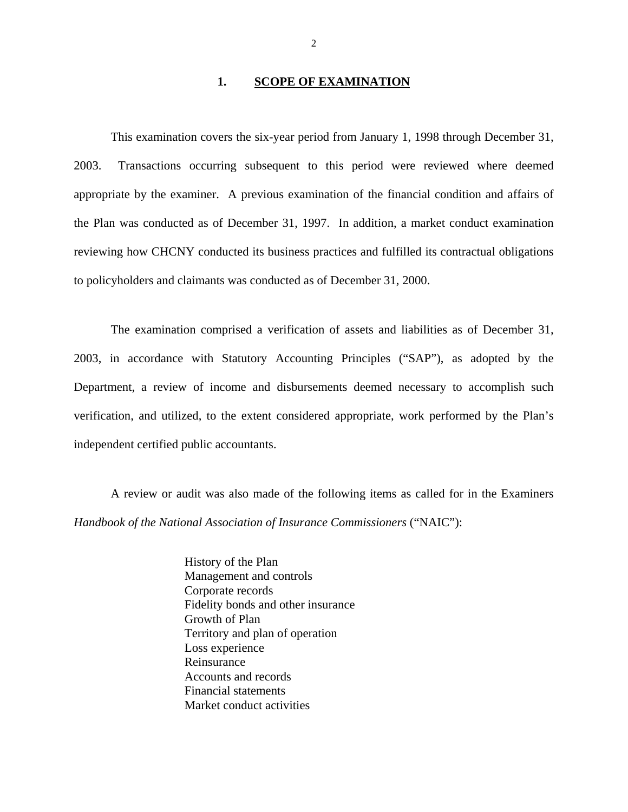#### **1. SCOPE OF EXAMINATION**

This examination covers the six-year period from January 1, 1998 through December 31, 2003. Transactions occurring subsequent to this period were reviewed where deemed appropriate by the examiner. A previous examination of the financial condition and affairs of the Plan was conducted as of December 31, 1997. In addition, a market conduct examination reviewing how CHCNY conducted its business practices and fulfilled its contractual obligations to policyholders and claimants was conducted as of December 31, 2000.

The examination comprised a verification of assets and liabilities as of December 31, 2003, in accordance with Statutory Accounting Principles ("SAP"), as adopted by the Department, a review of income and disbursements deemed necessary to accomplish such verification, and utilized, to the extent considered appropriate, work performed by the Plan's independent certified public accountants.

A review or audit was also made of the following items as called for in the Examiners *Handbook of the National Association of Insurance Commissioners* ("NAIC"):

> History of the Plan Management and controls Corporate records Fidelity bonds and other insurance Growth of Plan Territory and plan of operation Loss experience Reinsurance Accounts and records Financial statements Market conduct activities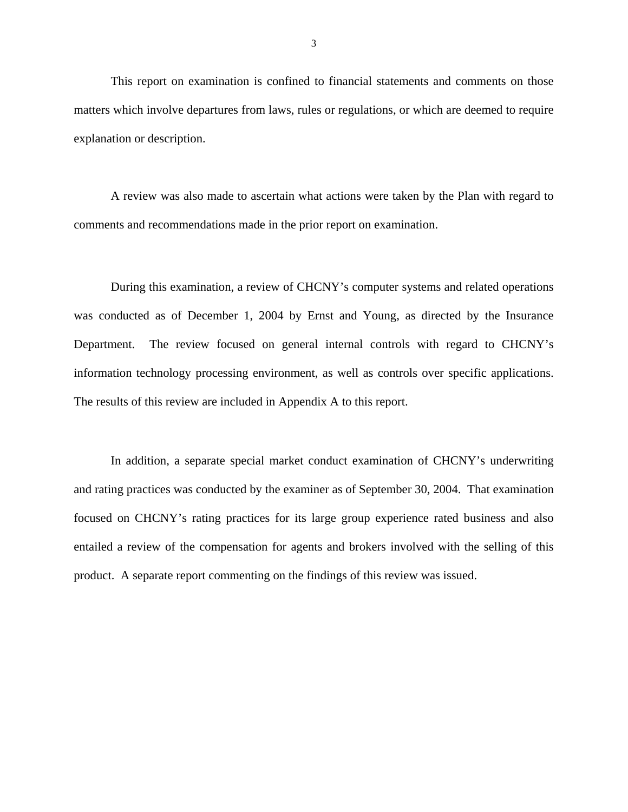<span id="page-4-0"></span>This report on examination is confined to financial statements and comments on those matters which involve departures from laws, rules or regulations, or which are deemed to require explanation or description.

A review was also made to ascertain what actions were taken by the Plan with regard to comments and recommendations made in the prior report on examination.

During this examination, a review of CHCNY's computer systems and related operations was conducted as of December 1, 2004 by Ernst and Young, as directed by the Insurance Department. The review focused on general internal controls with regard to CHCNY's information technology processing environment, as well as controls over specific applications. The results of this review are included in Appendix A to this report.

In addition, a separate special market conduct examination of CHCNY's underwriting and rating practices was conducted by the examiner as of September 30, 2004. That examination focused on CHCNY's rating practices for its large group experience rated business and also entailed a review of the compensation for agents and brokers involved with the selling of this product. A separate report commenting on the findings of this review was issued.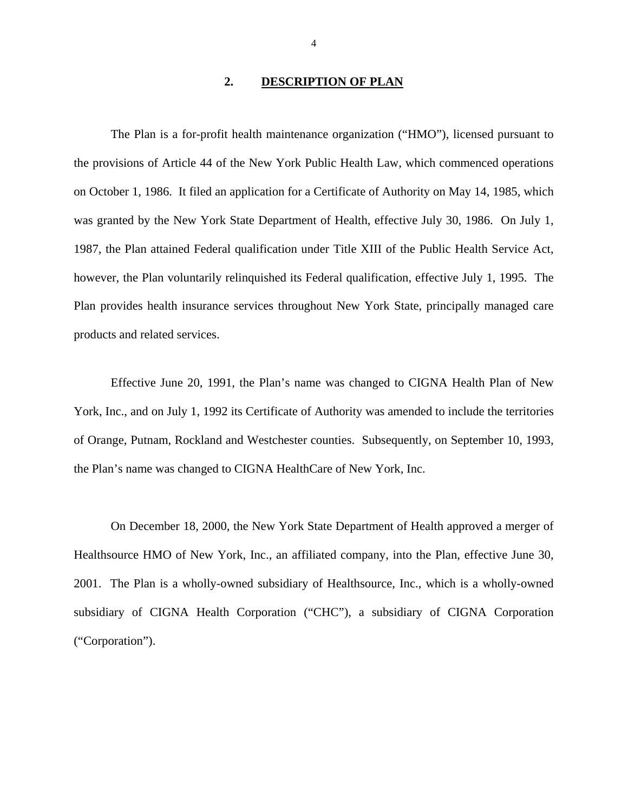#### **2. DESCRIPTION OF PLAN**

<span id="page-5-0"></span>The Plan is a for-profit health maintenance organization ("HMO"), licensed pursuant to the provisions of Article 44 of the New York Public Health Law, which commenced operations on October 1, 1986. It filed an application for a Certificate of Authority on May 14, 1985, which was granted by the New York State Department of Health, effective July 30, 1986. On July 1, 1987, the Plan attained Federal qualification under Title XIII of the Public Health Service Act, however, the Plan voluntarily relinquished its Federal qualification, effective July 1, 1995. The Plan provides health insurance services throughout New York State, principally managed care products and related services.

Effective June 20, 1991, the Plan's name was changed to CIGNA Health Plan of New York, Inc., and on July 1, 1992 its Certificate of Authority was amended to include the territories of Orange, Putnam, Rockland and Westchester counties. Subsequently, on September 10, 1993, the Plan's name was changed to CIGNA HealthCare of New York, Inc.

On December 18, 2000, the New York State Department of Health approved a merger of Healthsource HMO of New York, Inc., an affiliated company, into the Plan, effective June 30, 2001. The Plan is a wholly-owned subsidiary of Healthsource, Inc., which is a wholly-owned subsidiary of CIGNA Health Corporation ("CHC"), a subsidiary of CIGNA Corporation ("Corporation").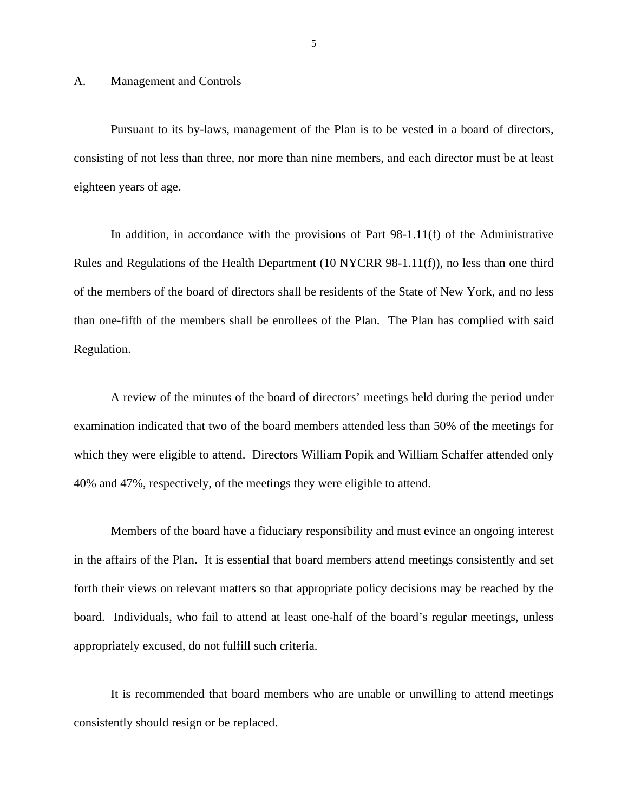#### <span id="page-6-0"></span>A. Management and Controls

Pursuant to its by-laws, management of the Plan is to be vested in a board of directors, consisting of not less than three, nor more than nine members, and each director must be at least eighteen years of age.

In addition, in accordance with the provisions of Part 98-1.11(f) of the Administrative Rules and Regulations of the Health Department (10 NYCRR 98-1.11(f)), no less than one third of the members of the board of directors shall be residents of the State of New York, and no less than one-fifth of the members shall be enrollees of the Plan. The Plan has complied with said Regulation.

A review of the minutes of the board of directors' meetings held during the period under examination indicated that two of the board members attended less than 50% of the meetings for which they were eligible to attend. Directors William Popik and William Schaffer attended only 40% and 47%, respectively, of the meetings they were eligible to attend.

Members of the board have a fiduciary responsibility and must evince an ongoing interest in the affairs of the Plan. It is essential that board members attend meetings consistently and set forth their views on relevant matters so that appropriate policy decisions may be reached by the board. Individuals, who fail to attend at least one-half of the board's regular meetings, unless appropriately excused, do not fulfill such criteria.

It is recommended that board members who are unable or unwilling to attend meetings consistently should resign or be replaced.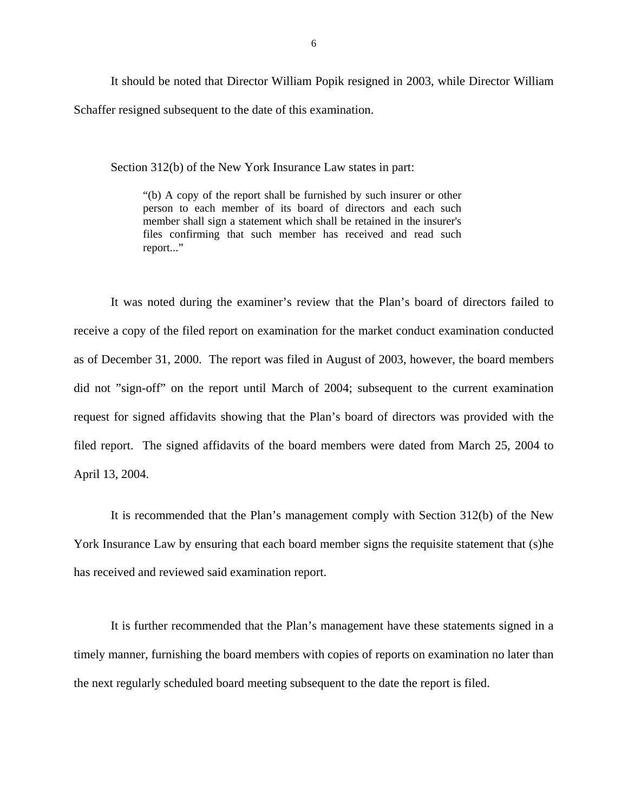<span id="page-7-0"></span>It should be noted that Director William Popik resigned in 2003, while Director William Schaffer resigned subsequent to the date of this examination.

Section 312(b) of the New York Insurance Law states in part:

"(b) A copy of the report shall be furnished by such insurer or other person to each member of its board of directors and each such member shall sign a statement which shall be retained in the insurer's files confirming that such member has received and read such report..."

It was noted during the examiner's review that the Plan's board of directors failed to receive a copy of the filed report on examination for the market conduct examination conducted as of December 31, 2000. The report was filed in August of 2003, however, the board members did not "sign-off" on the report until March of 2004; subsequent to the current examination request for signed affidavits showing that the Plan's board of directors was provided with the filed report. The signed affidavits of the board members were dated from March 25, 2004 to April 13, 2004.

It is recommended that the Plan's management comply with Section 312(b) of the New York Insurance Law by ensuring that each board member signs the requisite statement that (s)he has received and reviewed said examination report.

It is further recommended that the Plan's management have these statements signed in a timely manner, furnishing the board members with copies of reports on examination no later than the next regularly scheduled board meeting subsequent to the date the report is filed.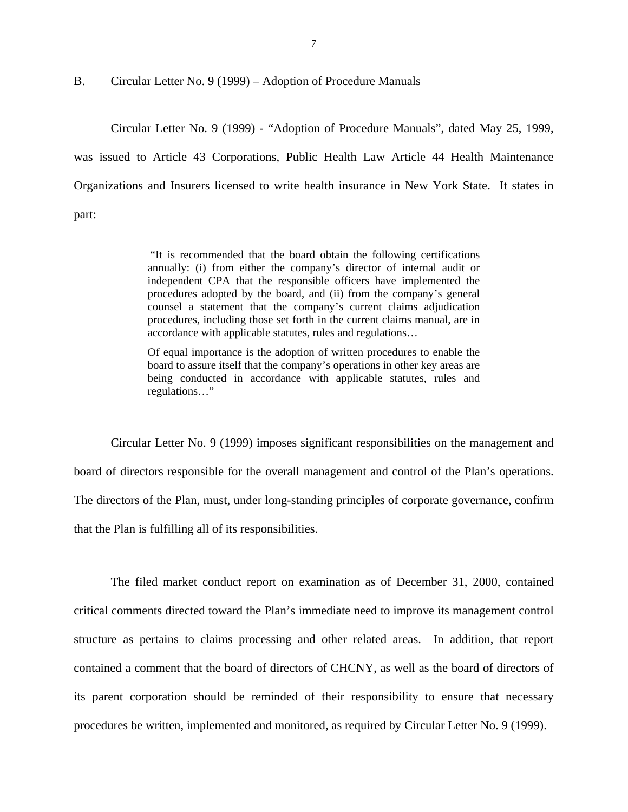<span id="page-8-0"></span>

B. Circular Letter No. 9 (1999) – Adoption of Procedure Manuals

Circular Letter No. 9 (1999) - "Adoption of Procedure Manuals", dated May 25, 1999, was issued to Article 43 Corporations, Public Health Law Article 44 Health Maintenance Organizations and Insurers licensed to write health insurance in New York State. It states in part:

> "It is recommended that the board obtain the following certifications annually: (i) from either the company's director of internal audit or independent CPA that the responsible officers have implemented the procedures adopted by the board, and (ii) from the company's general counsel a statement that the company's current claims adjudication procedures, including those set forth in the current claims manual, are in accordance with applicable statutes, rules and regulations…

> Of equal importance is the adoption of written procedures to enable the board to assure itself that the company's operations in other key areas are being conducted in accordance with applicable statutes, rules and regulations…"

Circular Letter No. 9 (1999) imposes significant responsibilities on the management and board of directors responsible for the overall management and control of the Plan's operations. The directors of the Plan, must, under long-standing principles of corporate governance, confirm that the Plan is fulfilling all of its responsibilities.

The filed market conduct report on examination as of December 31, 2000, contained critical comments directed toward the Plan's immediate need to improve its management control structure as pertains to claims processing and other related areas. In addition, that report contained a comment that the board of directors of CHCNY, as well as the board of directors of its parent corporation should be reminded of their responsibility to ensure that necessary procedures be written, implemented and monitored, as required by Circular Letter No. 9 (1999).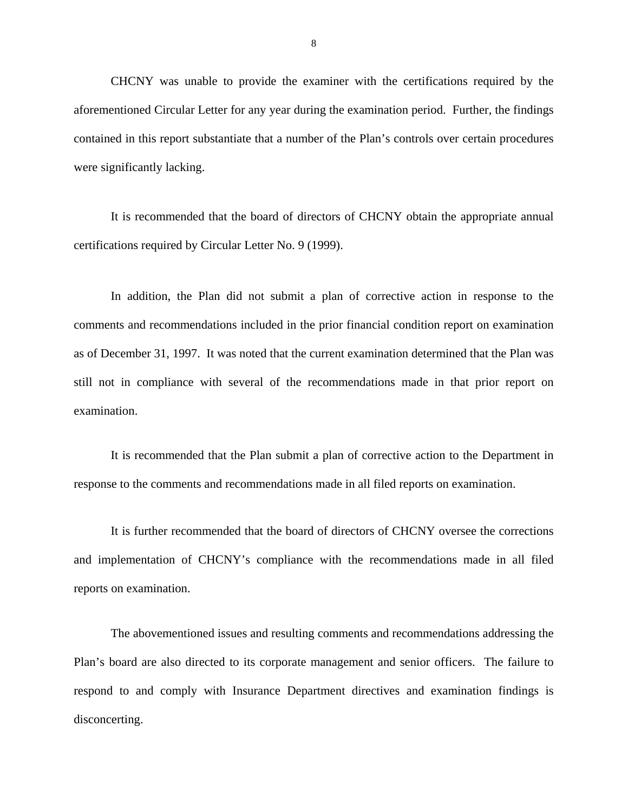CHCNY was unable to provide the examiner with the certifications required by the aforementioned Circular Letter for any year during the examination period. Further, the findings contained in this report substantiate that a number of the Plan's controls over certain procedures were significantly lacking.

It is recommended that the board of directors of CHCNY obtain the appropriate annual certifications required by Circular Letter No. 9 (1999).

In addition, the Plan did not submit a plan of corrective action in response to the comments and recommendations included in the prior financial condition report on examination as of December 31, 1997. It was noted that the current examination determined that the Plan was still not in compliance with several of the recommendations made in that prior report on examination.

It is recommended that the Plan submit a plan of corrective action to the Department in response to the comments and recommendations made in all filed reports on examination.

It is further recommended that the board of directors of CHCNY oversee the corrections and implementation of CHCNY's compliance with the recommendations made in all filed reports on examination.

The abovementioned issues and resulting comments and recommendations addressing the Plan's board are also directed to its corporate management and senior officers. The failure to respond to and comply with Insurance Department directives and examination findings is disconcerting.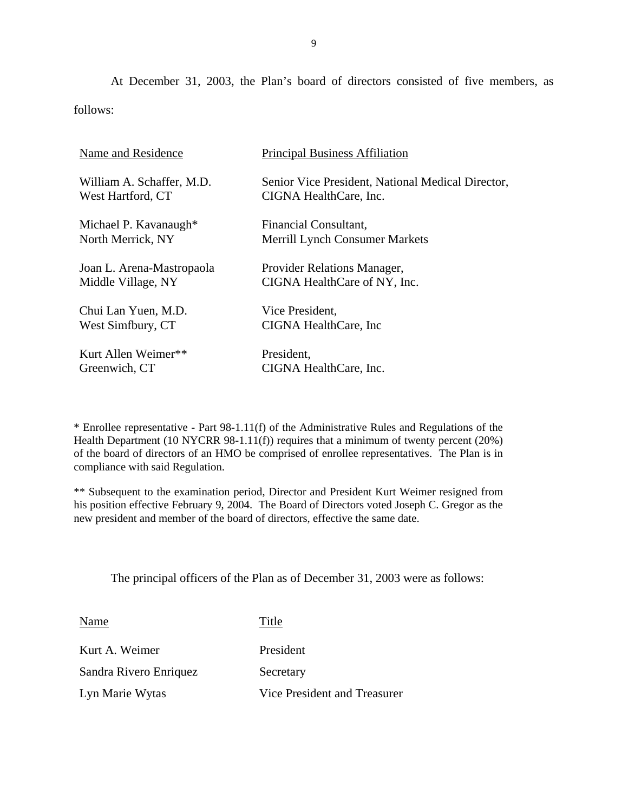At December 31, 2003, the Plan's board of directors consisted of five members, as follows:

| Name and Residence        | <b>Principal Business Affiliation</b>             |
|---------------------------|---------------------------------------------------|
| William A. Schaffer, M.D. | Senior Vice President, National Medical Director, |
| West Hartford, CT         | CIGNA HealthCare, Inc.                            |
| Michael P. Kavanaugh*     | Financial Consultant,                             |
| North Merrick, NY         | <b>Merrill Lynch Consumer Markets</b>             |
| Joan L. Arena-Mastropaola | Provider Relations Manager,                       |
| Middle Village, NY        | CIGNA HealthCare of NY, Inc.                      |
| Chui Lan Yuen, M.D.       | Vice President,                                   |
| West Simfbury, CT         | CIGNA HealthCare, Inc.                            |
| Kurt Allen Weimer**       | President,                                        |
| Greenwich, CT             | CIGNA HealthCare, Inc.                            |

\* Enrollee representative - Part 98-1.11(f) of the Administrative Rules and Regulations of the Health Department (10 NYCRR 98-1.11(f)) requires that a minimum of twenty percent (20%) of the board of directors of an HMO be comprised of enrollee representatives. The Plan is in compliance with said Regulation.

\*\* Subsequent to the examination period, Director and President Kurt Weimer resigned from his position effective February 9, 2004. The Board of Directors voted Joseph C. Gregor as the new president and member of the board of directors, effective the same date.

The principal officers of the Plan as of December 31, 2003 were as follows:

Name Title

Kurt A. Weimer President Sandra Rivero Enriquez Secretary

Lyn Marie Wytas Vice President and Treasurer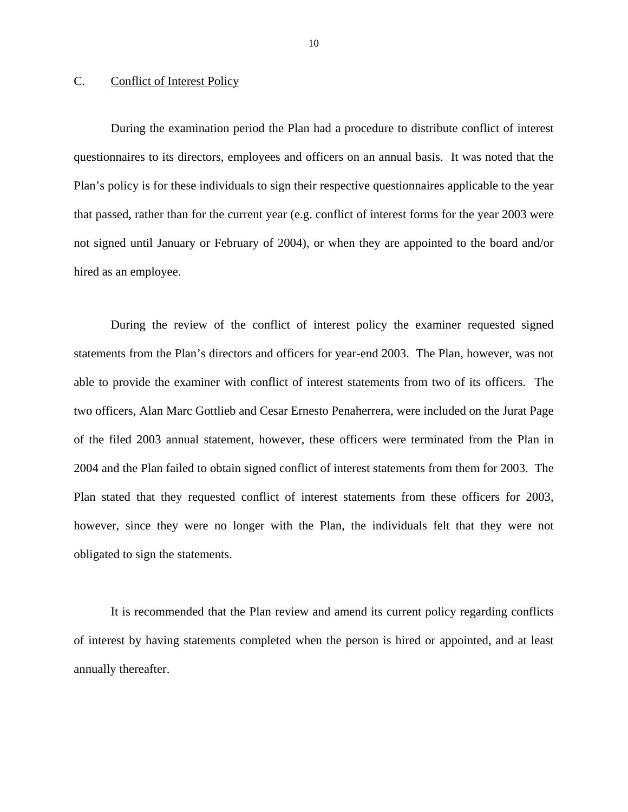#### <span id="page-11-0"></span>C. Conflict of Interest Policy

During the examination period the Plan had a procedure to distribute conflict of interest questionnaires to its directors, employees and officers on an annual basis. It was noted that the Plan's policy is for these individuals to sign their respective questionnaires applicable to the year that passed, rather than for the current year (e.g. conflict of interest forms for the year 2003 were not signed until January or February of 2004), or when they are appointed to the board and/or hired as an employee.

During the review of the conflict of interest policy the examiner requested signed statements from the Plan's directors and officers for year-end 2003. The Plan, however, was not able to provide the examiner with conflict of interest statements from two of its officers. The two officers, Alan Marc Gottlieb and Cesar Ernesto Penaherrera, were included on the Jurat Page of the filed 2003 annual statement, however, these officers were terminated from the Plan in 2004 and the Plan failed to obtain signed conflict of interest statements from them for 2003. The Plan stated that they requested conflict of interest statements from these officers for 2003, however, since they were no longer with the Plan, the individuals felt that they were not obligated to sign the statements.

It is recommended that the Plan review and amend its current policy regarding conflicts of interest by having statements completed when the person is hired or appointed, and at least annually thereafter.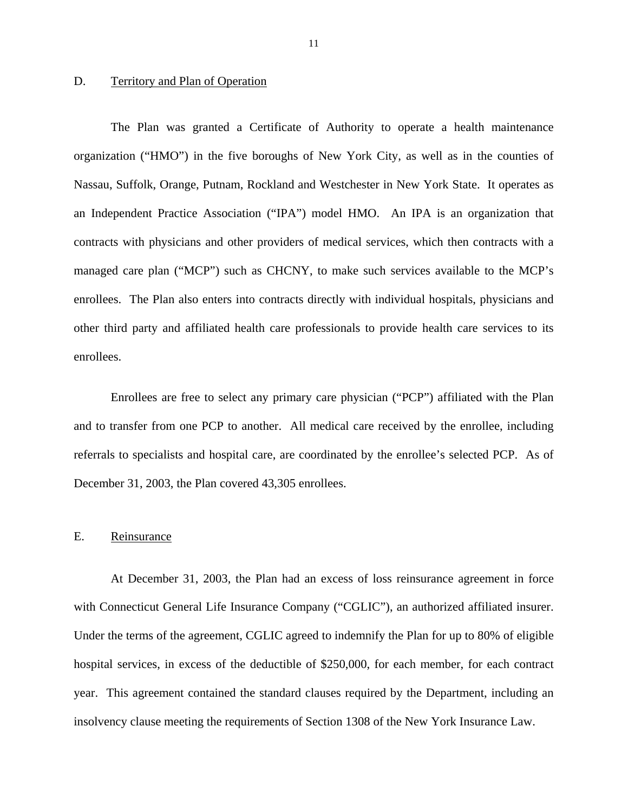#### <span id="page-12-0"></span>D. Territory and Plan of Operation

The Plan was granted a Certificate of Authority to operate a health maintenance organization ("HMO") in the five boroughs of New York City, as well as in the counties of Nassau, Suffolk, Orange, Putnam, Rockland and Westchester in New York State. It operates as an Independent Practice Association ("IPA") model HMO. An IPA is an organization that contracts with physicians and other providers of medical services, which then contracts with a managed care plan ("MCP") such as CHCNY, to make such services available to the MCP's enrollees. The Plan also enters into contracts directly with individual hospitals, physicians and other third party and affiliated health care professionals to provide health care services to its enrollees.

Enrollees are free to select any primary care physician ("PCP") affiliated with the Plan and to transfer from one PCP to another. All medical care received by the enrollee, including referrals to specialists and hospital care, are coordinated by the enrollee's selected PCP. As of December 31, 2003, the Plan covered 43,305 enrollees.

#### E. Reinsurance

At December 31, 2003, the Plan had an excess of loss reinsurance agreement in force with Connecticut General Life Insurance Company ("CGLIC"), an authorized affiliated insurer. Under the terms of the agreement, CGLIC agreed to indemnify the Plan for up to 80% of eligible hospital services, in excess of the deductible of \$250,000, for each member, for each contract year. This agreement contained the standard clauses required by the Department, including an insolvency clause meeting the requirements of Section 1308 of the New York Insurance Law.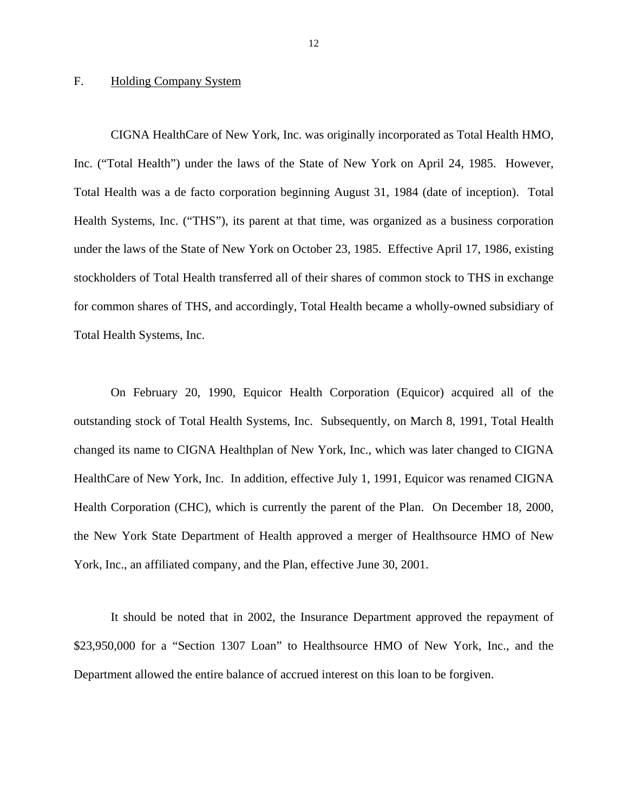#### <span id="page-13-0"></span>F. Holding Company System

CIGNA HealthCare of New York, Inc. was originally incorporated as Total Health HMO, Inc. ("Total Health") under the laws of the State of New York on April 24, 1985. However, Total Health was a de facto corporation beginning August 31, 1984 (date of inception). Total Health Systems, Inc. ("THS"), its parent at that time, was organized as a business corporation under the laws of the State of New York on October 23, 1985. Effective April 17, 1986, existing stockholders of Total Health transferred all of their shares of common stock to THS in exchange for common shares of THS, and accordingly, Total Health became a wholly-owned subsidiary of Total Health Systems, Inc.

On February 20, 1990, Equicor Health Corporation (Equicor) acquired all of the outstanding stock of Total Health Systems, Inc. Subsequently, on March 8, 1991, Total Health changed its name to CIGNA Healthplan of New York, Inc., which was later changed to CIGNA HealthCare of New York, Inc. In addition, effective July 1, 1991, Equicor was renamed CIGNA Health Corporation (CHC), which is currently the parent of the Plan. On December 18, 2000, the New York State Department of Health approved a merger of Healthsource HMO of New York, Inc., an affiliated company, and the Plan, effective June 30, 2001.

It should be noted that in 2002, the Insurance Department approved the repayment of \$23,950,000 for a "Section 1307 Loan" to Healthsource HMO of New York, Inc., and the Department allowed the entire balance of accrued interest on this loan to be forgiven.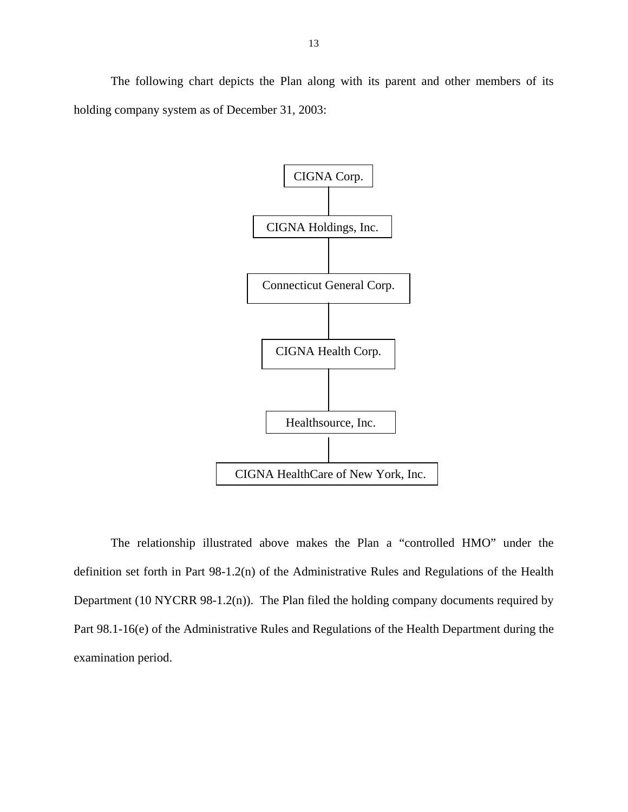The following chart depicts the Plan along with its parent and other members of its holding company system as of December 31, 2003:



The relationship illustrated above makes the Plan a "controlled HMO" under the definition set forth in Part 98-1.2(n) of the Administrative Rules and Regulations of the Health Department (10 NYCRR 98-1.2(n)). The Plan filed the holding company documents required by Part 98.1-16(e) of the Administrative Rules and Regulations of the Health Department during the examination period.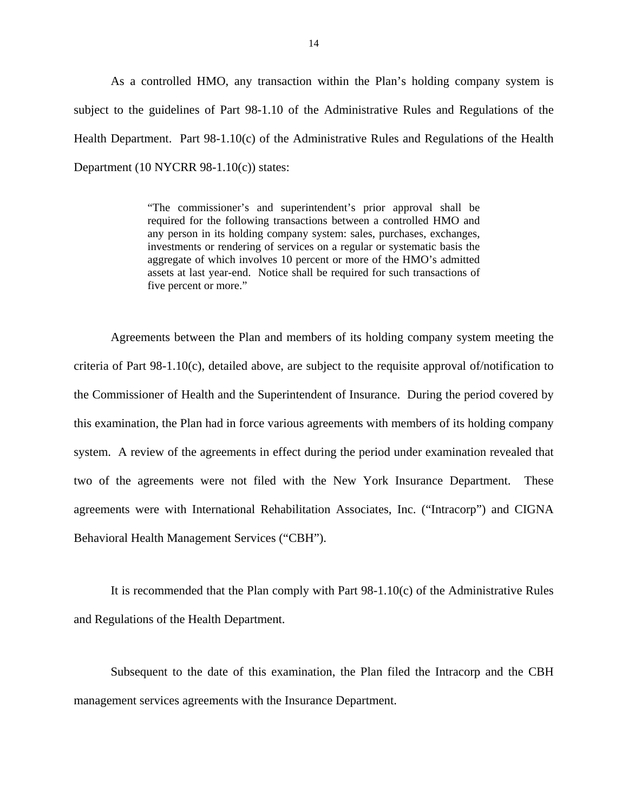<span id="page-15-0"></span>As a controlled HMO, any transaction within the Plan's holding company system is subject to the guidelines of Part 98-1.10 of the Administrative Rules and Regulations of the Health Department. Part 98-1.10(c) of the Administrative Rules and Regulations of the Health Department (10 NYCRR 98-1.10(c)) states:

> "The commissioner's and superintendent's prior approval shall be required for the following transactions between a controlled HMO and any person in its holding company system: sales, purchases, exchanges, investments or rendering of services on a regular or systematic basis the aggregate of which involves 10 percent or more of the HMO's admitted assets at last year-end. Notice shall be required for such transactions of five percent or more."

Agreements between the Plan and members of its holding company system meeting the criteria of Part 98-1.10(c), detailed above, are subject to the requisite approval of/notification to the Commissioner of Health and the Superintendent of Insurance. During the period covered by this examination, the Plan had in force various agreements with members of its holding company system. A review of the agreements in effect during the period under examination revealed that two of the agreements were not filed with the New York Insurance Department. These agreements were with International Rehabilitation Associates, Inc. ("Intracorp") and CIGNA Behavioral Health Management Services ("CBH").

It is recommended that the Plan comply with Part 98-1.10(c) of the Administrative Rules and Regulations of the Health Department.

Subsequent to the date of this examination, the Plan filed the Intracorp and the CBH management services agreements with the Insurance Department.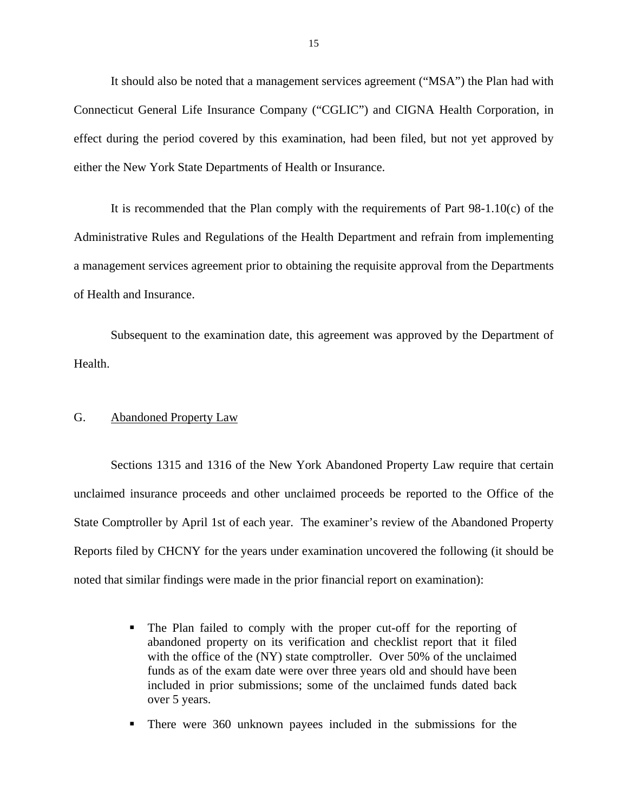<span id="page-16-0"></span>It should also be noted that a management services agreement ("MSA") the Plan had with Connecticut General Life Insurance Company ("CGLIC") and CIGNA Health Corporation, in effect during the period covered by this examination, had been filed, but not yet approved by either the New York State Departments of Health or Insurance.

It is recommended that the Plan comply with the requirements of Part 98-1.10(c) of the Administrative Rules and Regulations of the Health Department and refrain from implementing a management services agreement prior to obtaining the requisite approval from the Departments of Health and Insurance.

Subsequent to the examination date, this agreement was approved by the Department of Health.

#### G. Abandoned Property Law

Sections 1315 and 1316 of the New York Abandoned Property Law require that certain unclaimed insurance proceeds and other unclaimed proceeds be reported to the Office of the State Comptroller by April 1st of each year. The examiner's review of the Abandoned Property Reports filed by CHCNY for the years under examination uncovered the following (it should be noted that similar findings were made in the prior financial report on examination):

- The Plan failed to comply with the proper cut-off for the reporting of abandoned property on its verification and checklist report that it filed with the office of the (NY) state comptroller. Over 50% of the unclaimed funds as of the exam date were over three years old and should have been included in prior submissions; some of the unclaimed funds dated back over 5 years.
- There were 360 unknown payees included in the submissions for the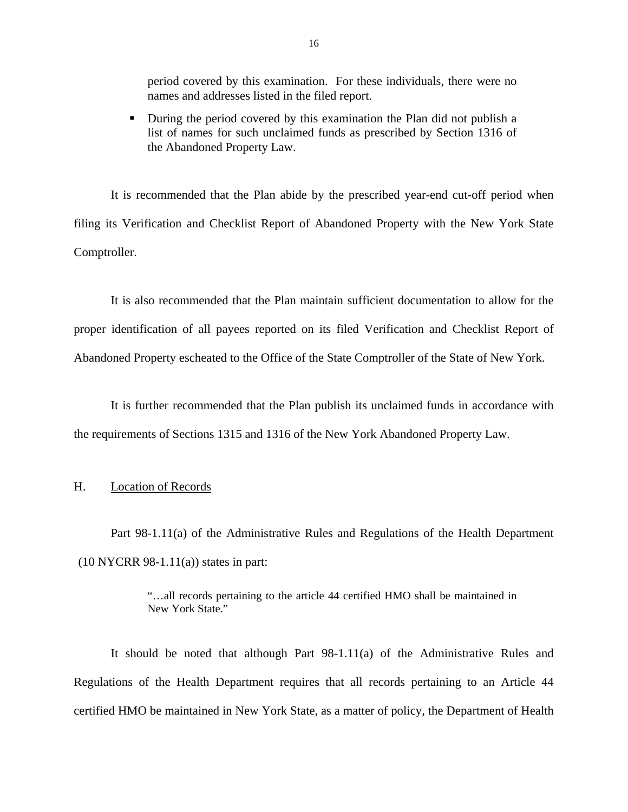<span id="page-17-0"></span>period covered by this examination. For these individuals, there were no names and addresses listed in the filed report.

During the period covered by this examination the Plan did not publish a list of names for such unclaimed funds as prescribed by Section 1316 of the Abandoned Property Law.

It is recommended that the Plan abide by the prescribed year-end cut-off period when filing its Verification and Checklist Report of Abandoned Property with the New York State Comptroller.

It is also recommended that the Plan maintain sufficient documentation to allow for the proper identification of all payees reported on its filed Verification and Checklist Report of Abandoned Property escheated to the Office of the State Comptroller of the State of New York.

It is further recommended that the Plan publish its unclaimed funds in accordance with the requirements of Sections 1315 and 1316 of the New York Abandoned Property Law.

#### H. Location of Records

Part 98-1.11(a) of the Administrative Rules and Regulations of the Health Department  $(10 NYCRR 98-1.11(a))$  states in part:

> "…all records pertaining to the article 44 certified HMO shall be maintained in New York State."

It should be noted that although Part 98-1.11(a) of the Administrative Rules and Regulations of the Health Department requires that all records pertaining to an Article 44 certified HMO be maintained in New York State, as a matter of policy, the Department of Health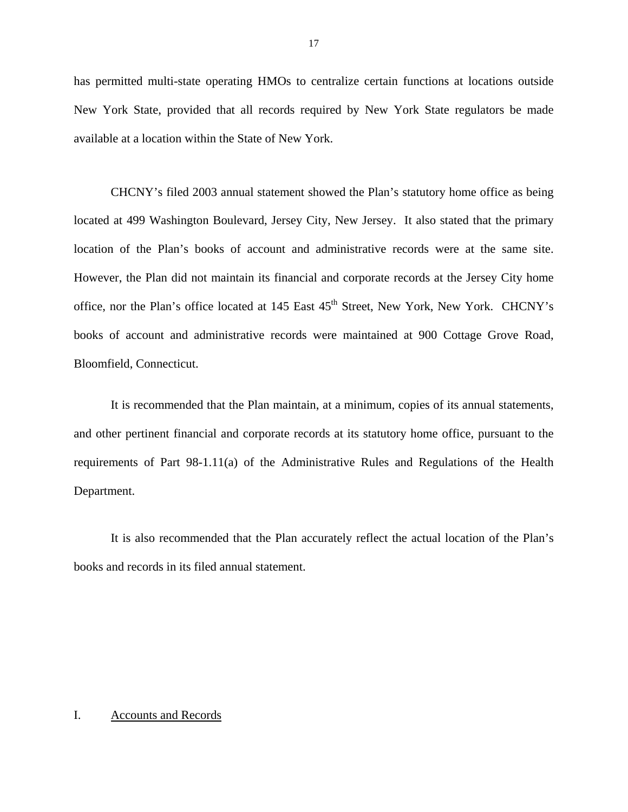has permitted multi-state operating HMOs to centralize certain functions at locations outside New York State, provided that all records required by New York State regulators be made available at a location within the State of New York.

CHCNY's filed 2003 annual statement showed the Plan's statutory home office as being located at 499 Washington Boulevard, Jersey City, New Jersey. It also stated that the primary location of the Plan's books of account and administrative records were at the same site. However, the Plan did not maintain its financial and corporate records at the Jersey City home office, nor the Plan's office located at 145 East 45<sup>th</sup> Street, New York, New York. CHCNY's books of account and administrative records were maintained at 900 Cottage Grove Road, Bloomfield, Connecticut.

It is recommended that the Plan maintain, at a minimum, copies of its annual statements, and other pertinent financial and corporate records at its statutory home office, pursuant to the requirements of Part 98-1.11(a) of the Administrative Rules and Regulations of the Health Department.

It is also recommended that the Plan accurately reflect the actual location of the Plan's books and records in its filed annual statement.

#### I. Accounts and Records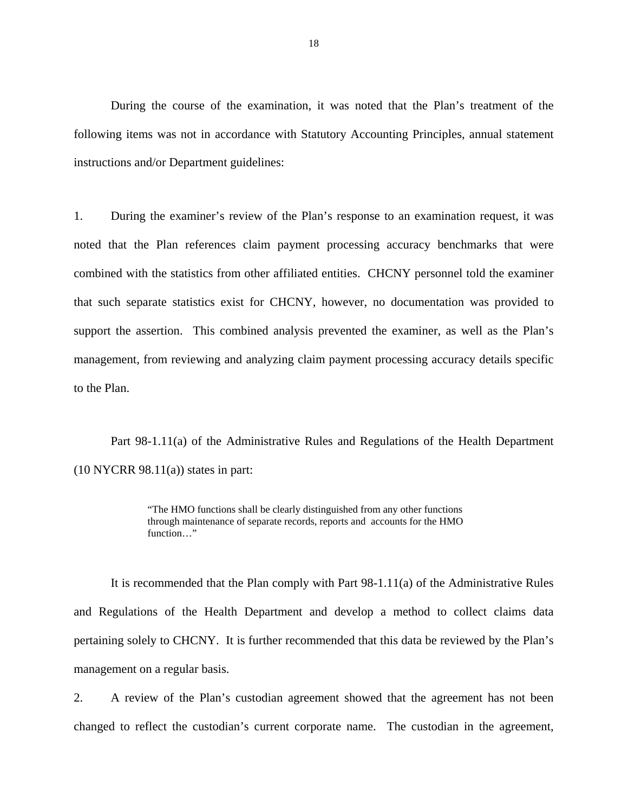<span id="page-19-0"></span>During the course of the examination, it was noted that the Plan's treatment of the following items was not in accordance with Statutory Accounting Principles, annual statement instructions and/or Department guidelines:

1. During the examiner's review of the Plan's response to an examination request, it was noted that the Plan references claim payment processing accuracy benchmarks that were combined with the statistics from other affiliated entities. CHCNY personnel told the examiner that such separate statistics exist for CHCNY, however, no documentation was provided to support the assertion. This combined analysis prevented the examiner, as well as the Plan's management, from reviewing and analyzing claim payment processing accuracy details specific to the Plan.

Part 98-1.11(a) of the Administrative Rules and Regulations of the Health Department  $(10 NYCRR 98.11(a))$  states in part:

> "The HMO functions shall be clearly distinguished from any other functions through maintenance of separate records, reports and accounts for the HMO function…"

It is recommended that the Plan comply with Part 98-1.11(a) of the Administrative Rules and Regulations of the Health Department and develop a method to collect claims data pertaining solely to CHCNY. It is further recommended that this data be reviewed by the Plan's management on a regular basis.

2. A review of the Plan's custodian agreement showed that the agreement has not been changed to reflect the custodian's current corporate name. The custodian in the agreement,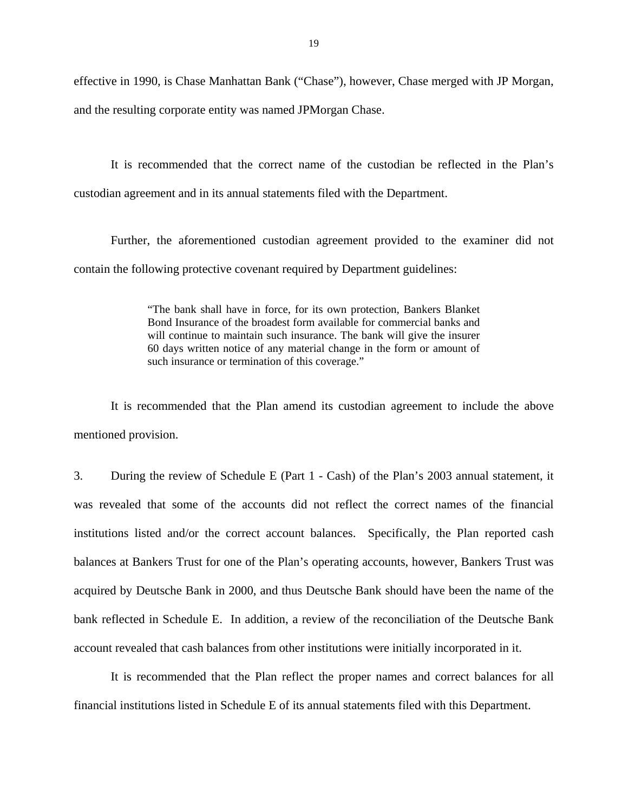effective in 1990, is Chase Manhattan Bank ("Chase"), however, Chase merged with JP Morgan, and the resulting corporate entity was named JPMorgan Chase.

It is recommended that the correct name of the custodian be reflected in the Plan's custodian agreement and in its annual statements filed with the Department.

Further, the aforementioned custodian agreement provided to the examiner did not contain the following protective covenant required by Department guidelines:

> "The bank shall have in force, for its own protection, Bankers Blanket Bond Insurance of the broadest form available for commercial banks and will continue to maintain such insurance. The bank will give the insurer 60 days written notice of any material change in the form or amount of such insurance or termination of this coverage."

It is recommended that the Plan amend its custodian agreement to include the above mentioned provision.

3. During the review of Schedule E (Part 1 - Cash) of the Plan's 2003 annual statement, it was revealed that some of the accounts did not reflect the correct names of the financial institutions listed and/or the correct account balances. Specifically, the Plan reported cash balances at Bankers Trust for one of the Plan's operating accounts, however, Bankers Trust was acquired by Deutsche Bank in 2000, and thus Deutsche Bank should have been the name of the bank reflected in Schedule E. In addition, a review of the reconciliation of the Deutsche Bank account revealed that cash balances from other institutions were initially incorporated in it.

It is recommended that the Plan reflect the proper names and correct balances for all financial institutions listed in Schedule E of its annual statements filed with this Department.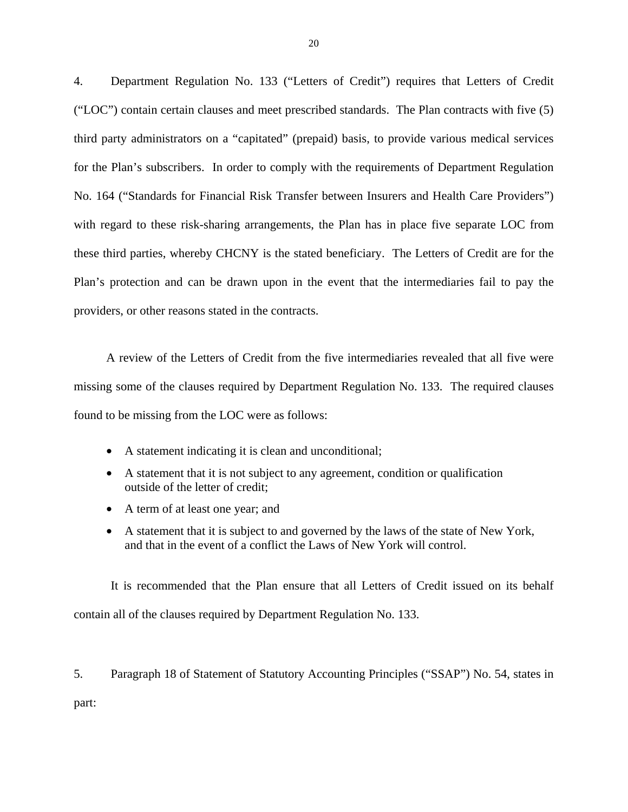4. Department Regulation No. 133 ("Letters of Credit") requires that Letters of Credit ("LOC") contain certain clauses and meet prescribed standards. The Plan contracts with five (5) third party administrators on a "capitated" (prepaid) basis, to provide various medical services for the Plan's subscribers. In order to comply with the requirements of Department Regulation No. 164 ("Standards for Financial Risk Transfer between Insurers and Health Care Providers") with regard to these risk-sharing arrangements, the Plan has in place five separate LOC from these third parties, whereby CHCNY is the stated beneficiary. The Letters of Credit are for the Plan's protection and can be drawn upon in the event that the intermediaries fail to pay the providers, or other reasons stated in the contracts.

A review of the Letters of Credit from the five intermediaries revealed that all five were missing some of the clauses required by Department Regulation No. 133. The required clauses found to be missing from the LOC were as follows:

- A statement indicating it is clean and unconditional;
- A statement that it is not subject to any agreement, condition or qualification outside of the letter of credit;
- A term of at least one year; and
- A statement that it is subject to and governed by the laws of the state of New York, and that in the event of a conflict the Laws of New York will control.

It is recommended that the Plan ensure that all Letters of Credit issued on its behalf contain all of the clauses required by Department Regulation No. 133.

5. Paragraph 18 of Statement of Statutory Accounting Principles ("SSAP") No. 54, states in part: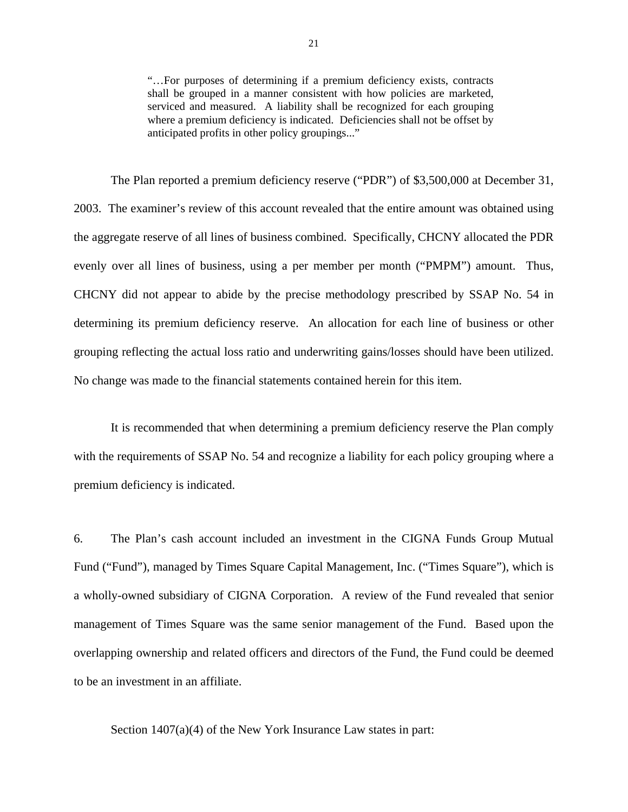"…For purposes of determining if a premium deficiency exists, contracts shall be grouped in a manner consistent with how policies are marketed, serviced and measured. A liability shall be recognized for each grouping where a premium deficiency is indicated. Deficiencies shall not be offset by anticipated profits in other policy groupings..."

No change was made to the financial statements contained herein for this item. The Plan reported a premium deficiency reserve ("PDR") of \$3,500,000 at December 31, 2003. The examiner's review of this account revealed that the entire amount was obtained using the aggregate reserve of all lines of business combined. Specifically, CHCNY allocated the PDR evenly over all lines of business, using a per member per month ("PMPM") amount. Thus, CHCNY did not appear to abide by the precise methodology prescribed by SSAP No. 54 in determining its premium deficiency reserve. An allocation for each line of business or other grouping reflecting the actual loss ratio and underwriting gains/losses should have been utilized.

It is recommended that when determining a premium deficiency reserve the Plan comply with the requirements of SSAP No. 54 and recognize a liability for each policy grouping where a premium deficiency is indicated.

6. The Plan's cash account included an investment in the CIGNA Funds Group Mutual Fund ("Fund"), managed by Times Square Capital Management, Inc. ("Times Square"), which is a wholly-owned subsidiary of CIGNA Corporation. A review of the Fund revealed that senior management of Times Square was the same senior management of the Fund. Based upon the overlapping ownership and related officers and directors of the Fund, the Fund could be deemed to be an investment in an affiliate.

Section 1407(a)(4) of the New York Insurance Law states in part: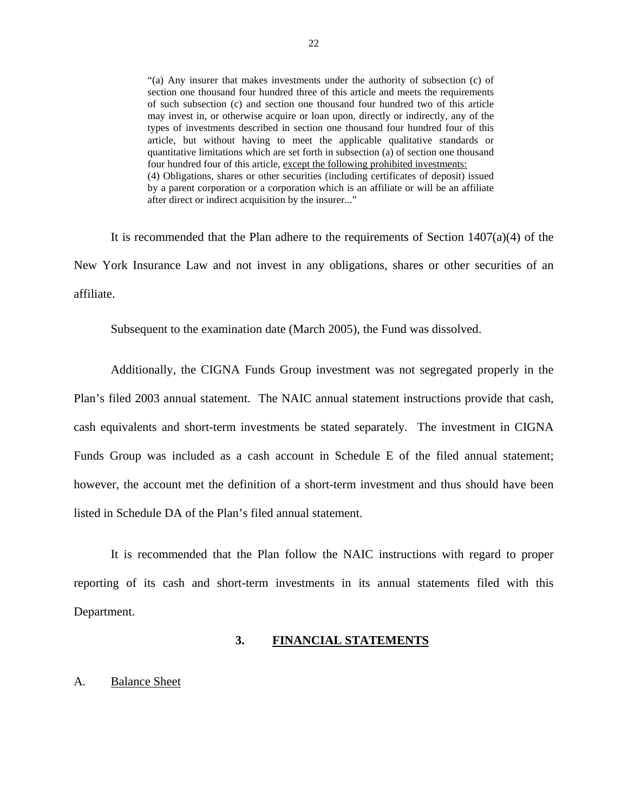section one thousand four hundred three of this article and meets the requirements "(a) Any insurer that makes investments under the authority of subsection (c) of of such subsection (c) and section one thousand four hundred two of this article may invest in, or otherwise acquire or loan upon, directly or indirectly, any of the types of investments described in section one thousand four hundred four of this article, but without having to meet the applicable qualitative standards or quantitative limitations which are set forth in subsection (a) of section one thousand four hundred four of this article, except the following prohibited investments: (4) Obligations, shares or other securities (including certificates of deposit) issued by a parent corporation or a corporation which is an affiliate or will be an affiliate after direct or indirect acquisition by the insurer..."

It is recommended that the Plan adhere to the requirements of Section  $1407(a)(4)$  of the New York Insurance Law and not invest in any obligations, shares or other securities of an affiliate.

Subsequent to the examination date (March 2005), the Fund was dissolved.

Additionally, the CIGNA Funds Group investment was not segregated properly in the Plan's filed 2003 annual statement. The NAIC annual statement instructions provide that cash, cash equivalents and short-term investments be stated separately. The investment in CIGNA Funds Group was included as a cash account in Schedule E of the filed annual statement; however, the account met the definition of a short-term investment and thus should have been listed in Schedule DA of the Plan's filed annual statement.

It is recommended that the Plan follow the NAIC instructions with regard to proper reporting of its cash and short-term investments in its annual statements filed with this Department.

#### **3. FINANCIAL STATEMENTS**

#### A. Balance Sheet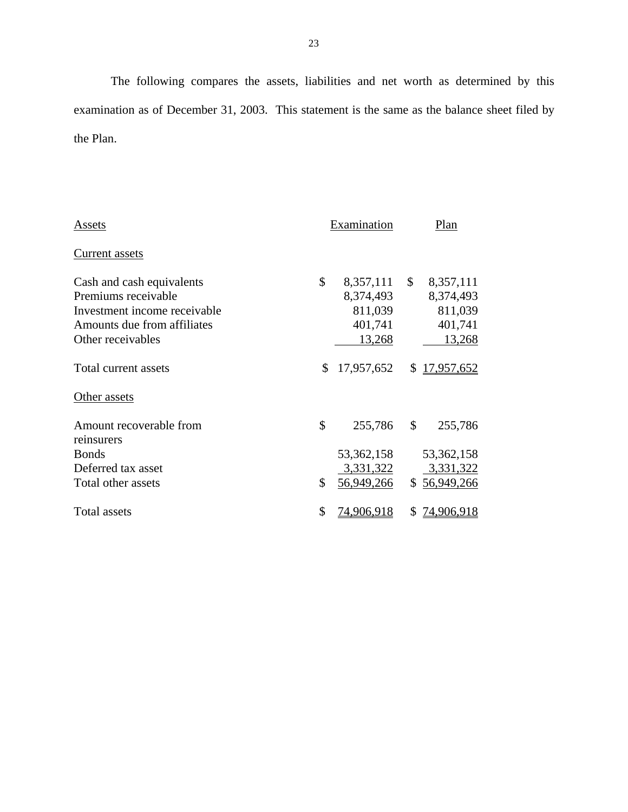The following compares the assets, liabilities and net worth as determined by this examination as of December 31, 2003. This statement is the same as the balance sheet filed by the Plan.

| Assets                                | Examination             |              | Plan         |
|---------------------------------------|-------------------------|--------------|--------------|
| Current assets                        |                         |              |              |
| Cash and cash equivalents             | \$<br>8,357,111         | $\mathbb{S}$ | 8,357,111    |
| Premiums receivable                   | 8,374,493               |              | 8,374,493    |
| Investment income receivable          | 811,039                 |              | 811,039      |
| Amounts due from affiliates           | 401,741                 |              | 401,741      |
| Other receivables                     | 13,268                  |              | 13,268       |
| Total current assets                  | \$<br>17,957,652        | S.           | 17,957,652   |
| Other assets                          |                         |              |              |
| Amount recoverable from<br>reinsurers | \$<br>255,786           | \$           | 255,786      |
| <b>Bonds</b>                          | 53,362,158              |              | 53, 362, 158 |
| Deferred tax asset                    | 3,331,322               |              | 3,331,322    |
| Total other assets                    | \$<br><u>56,949,266</u> |              | \$56,949,266 |
| <b>Total assets</b>                   | \$<br>74,906,918        | S            | 74,906,918   |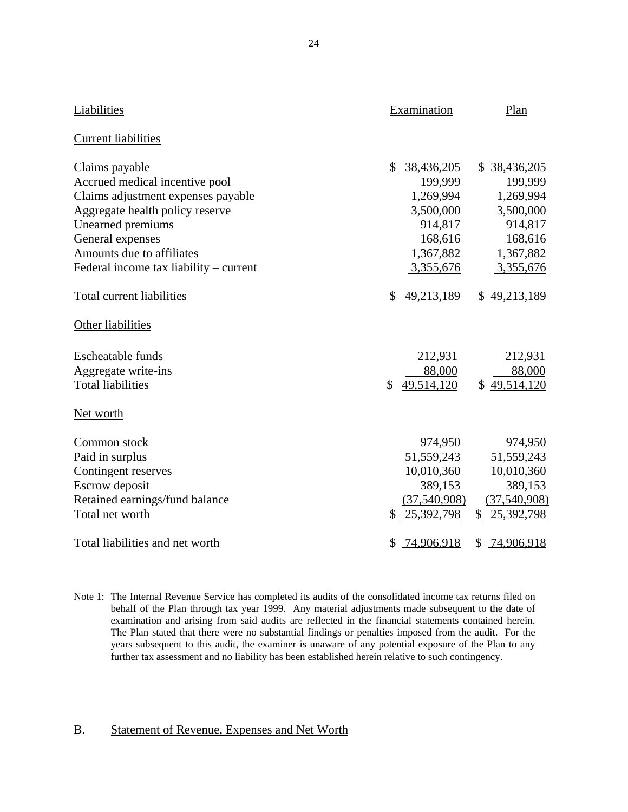| Liabilities                            | Examination      | Plan             |
|----------------------------------------|------------------|------------------|
| <b>Current liabilities</b>             |                  |                  |
| Claims payable                         | \$<br>38,436,205 | \$38,436,205     |
| Accrued medical incentive pool         | 199,999          | 199,999          |
| Claims adjustment expenses payable     | 1,269,994        | 1,269,994        |
| Aggregate health policy reserve        | 3,500,000        | 3,500,000        |
| Unearned premiums                      | 914,817          | 914,817          |
| General expenses                       | 168,616          | 168,616          |
| Amounts due to affiliates              | 1,367,882        | 1,367,882        |
| Federal income tax liability – current | 3,355,676        | 3,355,676        |
| <b>Total current liabilities</b>       | \$<br>49,213,189 | \$49,213,189     |
| Other liabilities                      |                  |                  |
| <b>Escheatable funds</b>               | 212,931          | 212,931          |
| Aggregate write-ins                    | 88,000           | 88,000           |
| <b>Total liabilities</b>               | \$<br>49,514,120 | \$49,514,120     |
| Net worth                              |                  |                  |
| Common stock                           | 974,950          | 974,950          |
| Paid in surplus                        | 51,559,243       | 51,559,243       |
| Contingent reserves                    | 10,010,360       | 10,010,360       |
| Escrow deposit                         | 389,153          | 389,153          |
| Retained earnings/fund balance         | (37,540,908)     | (37,540,908)     |
| Total net worth                        | \$<br>25,392,798 | \$25,392,798     |
| Total liabilities and net worth        | \$<br>74,906,918 | 74,906,918<br>\$ |

 behalf of the Plan through tax year 1999. Any material adjustments made subsequent to the date of The Plan stated that there were no substantial findings or penalties imposed from the audit. For the years subsequent to this audit, the examiner is unaware of any potential exposure of the Plan to any Note 1: The Internal Revenue Service has completed its audits of the consolidated income tax returns filed on examination and arising from said audits are reflected in the financial statements contained herein. further tax assessment and no liability has been established herein relative to such contingency.

#### B. Statement of Revenue, Expenses and Net Worth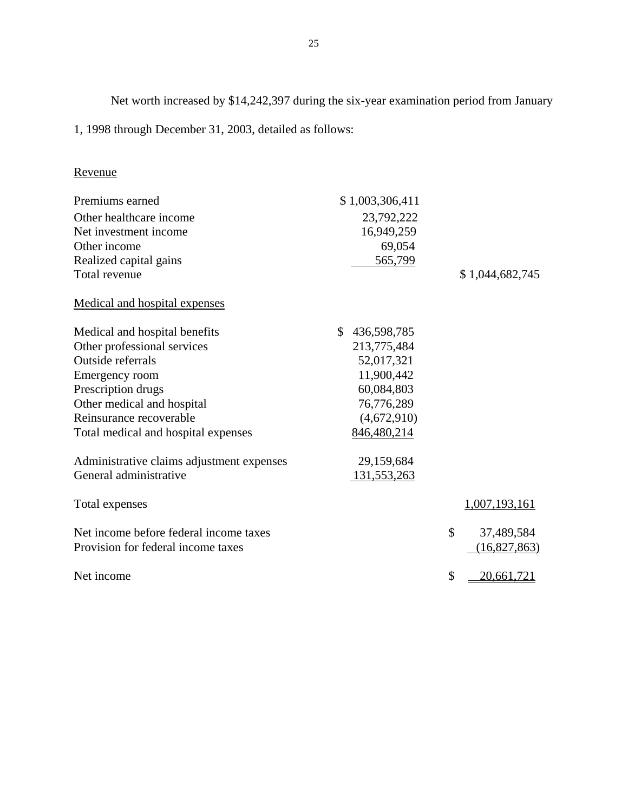Net worth increased by \$14,242,397 during the six-year examination period from January

1, 1998 through December 31, 2003, detailed as follows:

## Revenue

| Premiums earned                           | \$1,003,306,411   |                  |
|-------------------------------------------|-------------------|------------------|
| Other healthcare income                   | 23,792,222        |                  |
| Net investment income                     | 16,949,259        |                  |
| Other income                              | 69,054            |                  |
| Realized capital gains                    | 565,799           |                  |
| Total revenue                             |                   | \$1,044,682,745  |
| Medical and hospital expenses             |                   |                  |
| Medical and hospital benefits             | \$<br>436,598,785 |                  |
| Other professional services               | 213,775,484       |                  |
| Outside referrals                         | 52,017,321        |                  |
| Emergency room                            | 11,900,442        |                  |
| Prescription drugs                        | 60,084,803        |                  |
| Other medical and hospital                | 76,776,289        |                  |
| Reinsurance recoverable                   | (4,672,910)       |                  |
| Total medical and hospital expenses       | 846,480,214       |                  |
| Administrative claims adjustment expenses | 29,159,684        |                  |
| General administrative                    | 131,553,263       |                  |
| Total expenses                            |                   | 1,007,193,161    |
| Net income before federal income taxes    |                   | \$<br>37,489,584 |
| Provision for federal income taxes        |                   | (16,827,863)     |
| Net income                                |                   | \$<br>20,661,721 |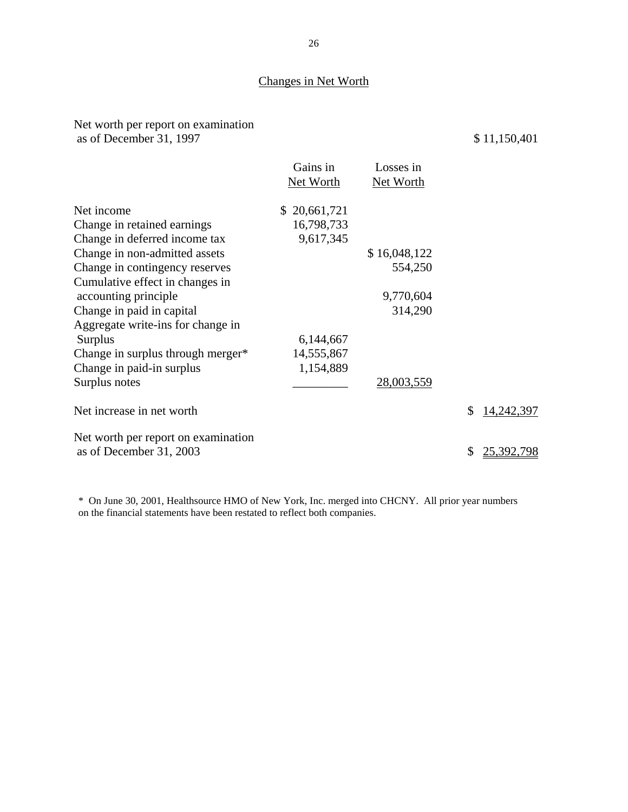## Changes in Net Worth

## Net worth per report on examination as of December 31, 1997 \$ 11,150,401

|                                     | Gains in     | Losses in        |                  |
|-------------------------------------|--------------|------------------|------------------|
|                                     | Net Worth    | <b>Net Worth</b> |                  |
| Net income                          | \$20,661,721 |                  |                  |
| Change in retained earnings         | 16,798,733   |                  |                  |
| Change in deferred income tax       | 9,617,345    |                  |                  |
| Change in non-admitted assets       |              | \$16,048,122     |                  |
| Change in contingency reserves      |              | 554,250          |                  |
| Cumulative effect in changes in     |              |                  |                  |
| accounting principle                |              | 9,770,604        |                  |
| Change in paid in capital           |              | 314,290          |                  |
| Aggregate write-ins for change in   |              |                  |                  |
| <b>Surplus</b>                      | 6,144,667    |                  |                  |
| Change in surplus through merger*   | 14,555,867   |                  |                  |
| Change in paid-in surplus           | 1,154,889    |                  |                  |
| Surplus notes                       |              | 28,003,559       |                  |
| Net increase in net worth           |              |                  | \$<br>14,242,397 |
| Net worth per report on examination |              |                  |                  |
| as of December 31, 2003             |              |                  | \$<br>25,392,798 |

\* On June 30, 2001, Healthsource HMO of New York, Inc. merged into CHCNY. All prior year numbers on the financial statements have been restated to reflect both companies.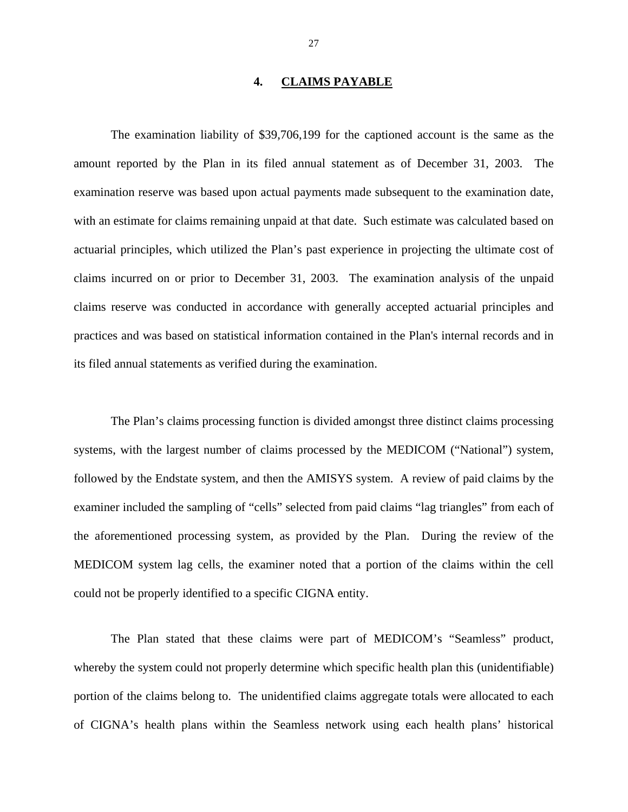#### **4. CLAIMS PAYABLE**

<span id="page-28-0"></span>The examination liability of \$39,706,199 for the captioned account is the same as the amount reported by the Plan in its filed annual statement as of December 31, 2003. The examination reserve was based upon actual payments made subsequent to the examination date, with an estimate for claims remaining unpaid at that date. Such estimate was calculated based on actuarial principles, which utilized the Plan's past experience in projecting the ultimate cost of claims incurred on or prior to December 31, 2003. The examination analysis of the unpaid claims reserve was conducted in accordance with generally accepted actuarial principles and practices and was based on statistical information contained in the Plan's internal records and in its filed annual statements as verified during the examination.

The Plan's claims processing function is divided amongst three distinct claims processing systems, with the largest number of claims processed by the MEDICOM ("National") system, followed by the Endstate system, and then the AMISYS system. A review of paid claims by the examiner included the sampling of "cells" selected from paid claims "lag triangles" from each of the aforementioned processing system, as provided by the Plan. During the review of the MEDICOM system lag cells, the examiner noted that a portion of the claims within the cell could not be properly identified to a specific CIGNA entity.

The Plan stated that these claims were part of MEDICOM's "Seamless" product, whereby the system could not properly determine which specific health plan this (unidentifiable) portion of the claims belong to. The unidentified claims aggregate totals were allocated to each of CIGNA's health plans within the Seamless network using each health plans' historical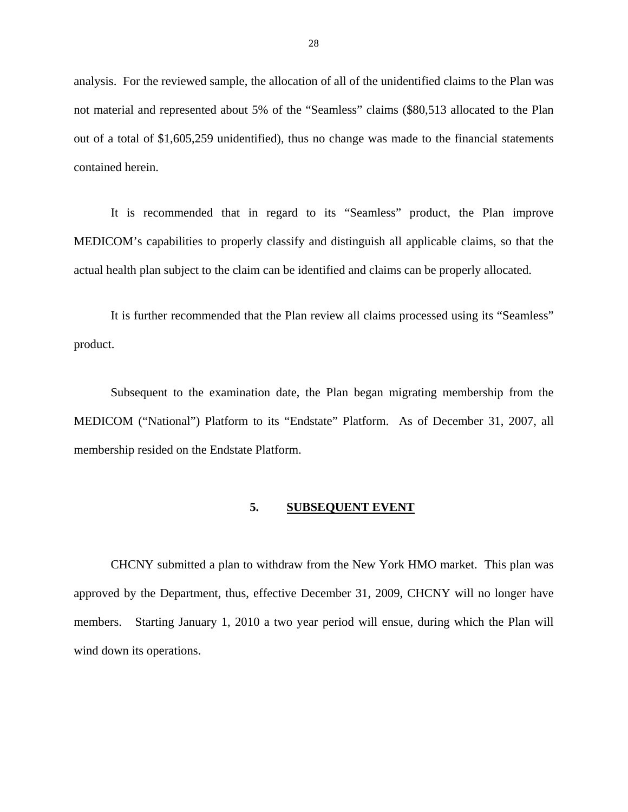<span id="page-29-0"></span>analysis. For the reviewed sample, the allocation of all of the unidentified claims to the Plan was not material and represented about 5% of the "Seamless" claims (\$80,513 allocated to the Plan out of a total of \$1,605,259 unidentified), thus no change was made to the financial statements contained herein.

It is recommended that in regard to its "Seamless" product, the Plan improve MEDICOM's capabilities to properly classify and distinguish all applicable claims, so that the actual health plan subject to the claim can be identified and claims can be properly allocated.

It is further recommended that the Plan review all claims processed using its "Seamless" product.

Subsequent to the examination date, the Plan began migrating membership from the MEDICOM ("National") Platform to its "Endstate" Platform. As of December 31, 2007, all membership resided on the Endstate Platform.

#### **5. SUBSEQUENT EVENT**

CHCNY submitted a plan to withdraw from the New York HMO market. This plan was approved by the Department, thus, effective December 31, 2009, CHCNY will no longer have members. Starting January 1, 2010 a two year period will ensue, during which the Plan will wind down its operations.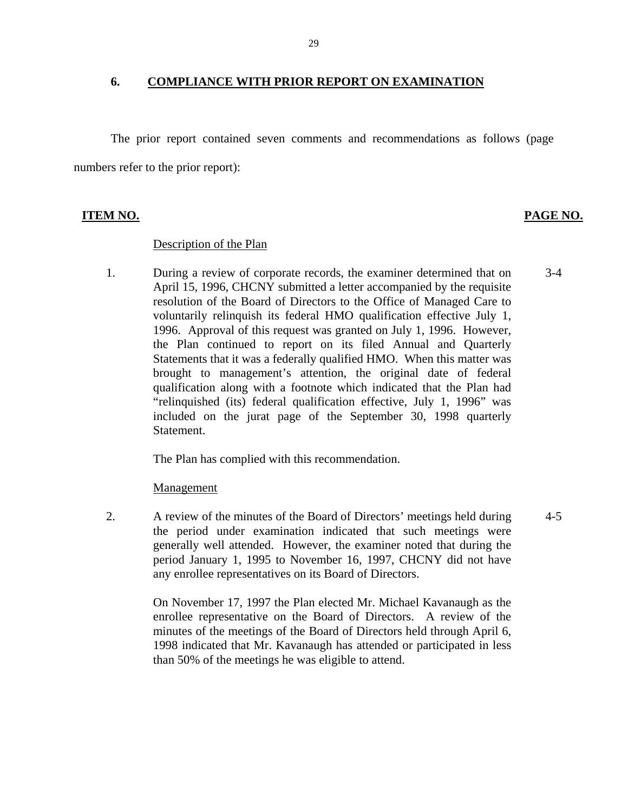#### **6. COMPLIANCE WITH PRIOR REPORT ON EXAMINATION**

The prior report contained seven comments and recommendations as follows (page numbers refer to the prior report):

### **ITEM NO. PAGE NO.**

#### Description of the Plan

1. During a review of corporate records, the examiner determined that on April 15, 1996, CHCNY submitted a letter accompanied by the requisite resolution of the Board of Directors to the Office of Managed Care to voluntarily relinquish its federal HMO qualification effective July 1, 1996. Approval of this request was granted on July 1, 1996. However, the Plan continued to report on its filed Annual and Quarterly Statements that it was a federally qualified HMO. When this matter was brought to management's attention, the original date of federal qualification along with a footnote which indicated that the Plan had "relinquished (its) federal qualification effective, July 1, 1996" was included on the jurat page of the September 30, 1998 quarterly Statement. 3-4

The Plan has complied with this recommendation.

#### Management

2. A review of the minutes of the Board of Directors' meetings held during the period under examination indicated that such meetings were generally well attended. However, the examiner noted that during the period January 1, 1995 to November 16, 1997, CHCNY did not have any enrollee representatives on its Board of Directors. 4-5

> On November 17, 1997 the Plan elected Mr. Michael Kavanaugh as the enrollee representative on the Board of Directors. A review of the minutes of the meetings of the Board of Directors held through April 6, 1998 indicated that Mr. Kavanaugh has attended or participated in less than 50% of the meetings he was eligible to attend.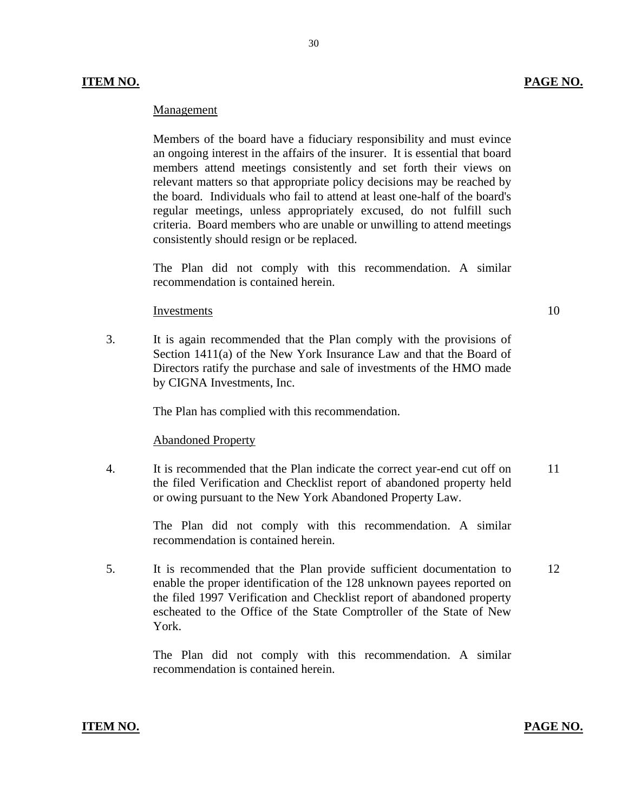#### **ITEM NO. PAGE NO.**

#### Management

Members of the board have a fiduciary responsibility and must evince an ongoing interest in the affairs of the insurer. It is essential that board members attend meetings consistently and set forth their views on relevant matters so that appropriate policy decisions may be reached by the board. Individuals who fail to attend at least one-half of the board's regular meetings, unless appropriately excused, do not fulfill such criteria. Board members who are unable or unwilling to attend meetings consistently should resign or be replaced.

The Plan did not comply with this recommendation. A similar recommendation is contained herein.

#### Investments 10

3. It is again recommended that the Plan comply with the provisions of Section 1411(a) of the New York Insurance Law and that the Board of Directors ratify the purchase and sale of investments of the HMO made by CIGNA Investments, Inc.

The Plan has complied with this recommendation.

#### **Abandoned Property**

4. It is recommended that the Plan indicate the correct year-end cut off on 11 the filed Verification and Checklist report of abandoned property held or owing pursuant to the New York Abandoned Property Law.

> The Plan did not comply with this recommendation. A similar recommendation is contained herein.

5. It is recommended that the Plan provide sufficient documentation to 12 enable the proper identification of the 128 unknown payees reported on the filed 1997 Verification and Checklist report of abandoned property escheated to the Office of the State Comptroller of the State of New York.

> The Plan did not comply with this recommendation. A similar recommendation is contained herein.

#### **ITEM NO. PAGE NO.**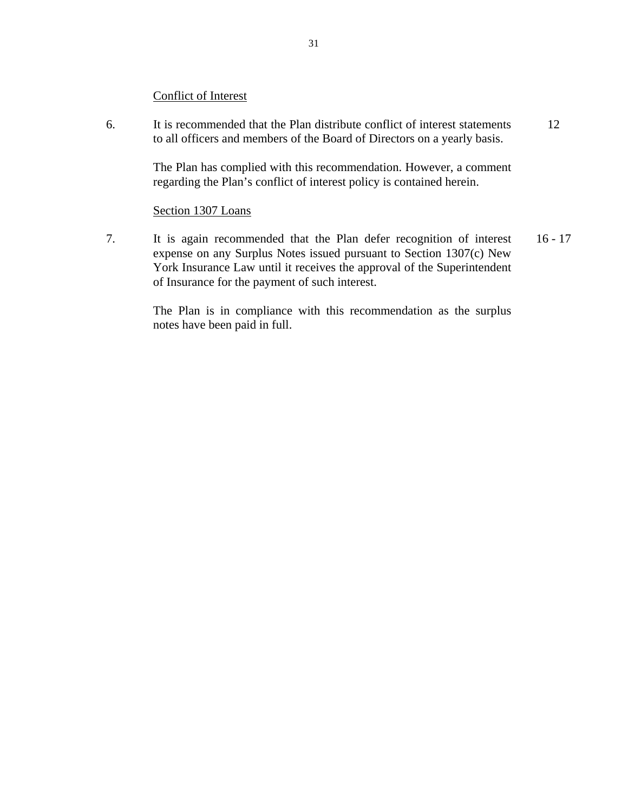#### **Conflict of Interest**

Conflict of Interest 6. It is recommended that the Plan distribute conflict of interest statements to all officers and members of the Board of Directors on a yearly basis. It is recommended that the Plan distribute conflict of interest statements<br>to all officers and members of the Board of Directors on a yearly basis.<br>The Plan has complied with this recommendation. However, a comment<br>regardi

The Plan has complied with this recommendation. However, a comment regarding the Plan's conflict of interest policy is contained herein.

#### Section 1307 Loans

7. It is again recommended that the Plan defer recognition of interest expense on any Surplus Notes issued pursuant to Section 1307(c) New York Insurance Law until it receives the approval of the Superintendent of Insurance for the payment of such interest. 16 - 17

The Plan is in compliance with this recommendation as the surplus notes have been paid in full.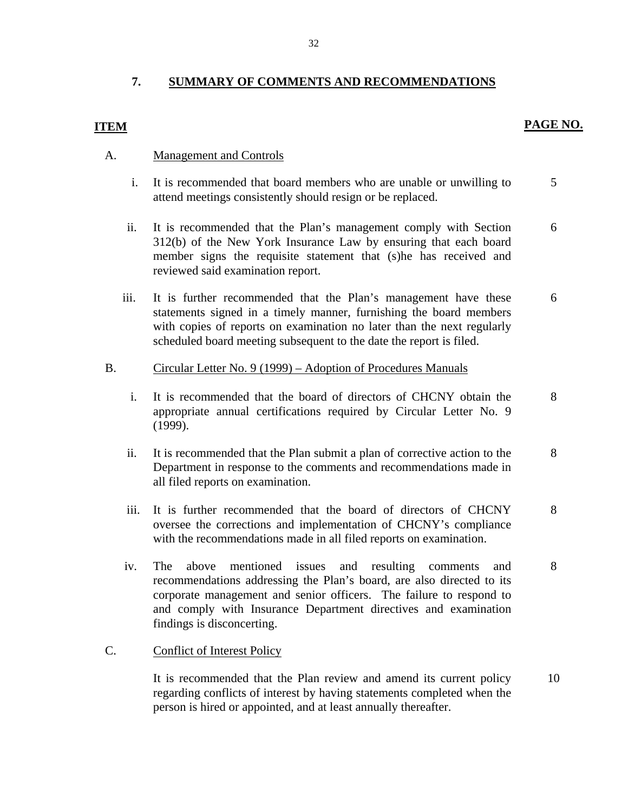### <span id="page-33-0"></span>**7. SUMMARY OF COMMENTS AND RECOMMENDATIONS**

#### **PAGE NO.**

### **ITEM**

#### A. Management and Controls

- i. It is recommended that board members who are unable or unwilling to attend meetings consistently should resign or be replaced. 5
- ii. It is recommended that the Plan's management comply with Section 312(b) of the New York Insurance Law by ensuring that each board member signs the requisite statement that (s)he has received and reviewed said examination report. 6
- iii. It is further recommended that the Plan's management have these statements signed in a timely manner, furnishing the board members with copies of reports on examination no later than the next regularly scheduled board meeting subsequent to the date the report is filed. 6

# Circular Letter No. 9 (1999) – Adoption of Procedures Manuals B. Circular Letter No. 9 (1999) – Adoption of Procedures Manuals<br>i. It is recommended that the board of directors of CHCNY obtain the

- appropriate annual certifications required by Circular Letter No. 9 (1999). 8
- ii. It is recommended that the Plan submit a plan of corrective action to the Department in response to the comments and recommendations made in all filed reports on examination. 8
- iii. It is further recommended that the board of directors of CHCNY oversee the corrections and implementation of CHCNY's compliance with the recommendations made in all filed reports on examination. 8
- iv. The above mentioned issues and resulting comments and recommendations addressing the Plan's board, are also directed to its corporate management and senior officers. The failure to respond to and comply with Insurance Department directives and examination findings is disconcerting. 8

#### **Conflict of Interest Policy**

C. Conflict of Interest Policy<br>It is recommended that the Plan review and amend its current policy regarding conflicts of interest by having statements completed when the person is hired or appointed, and at least annually thereafter. 10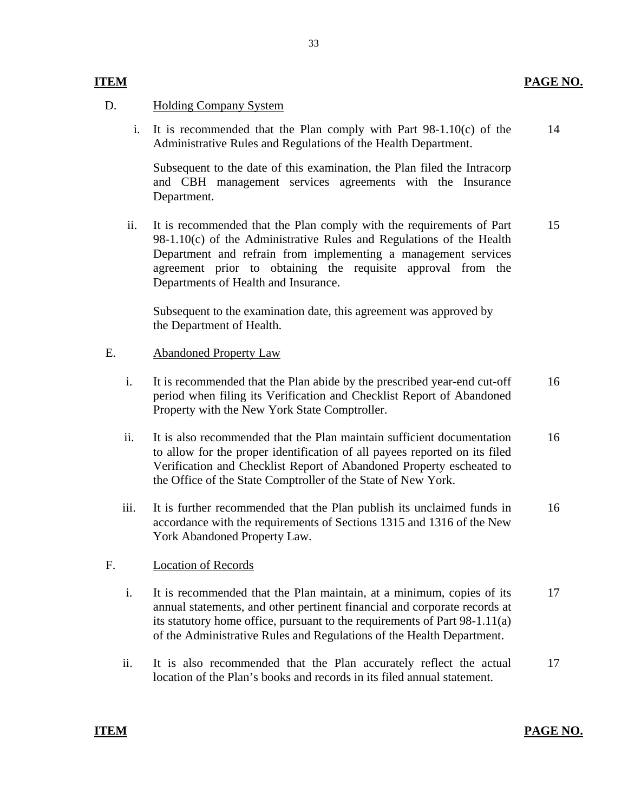#### **Holding Company System**

D. Holding Company System<br>i. It is recommended that the Plan comply with Part 98-1.10(c) of the Administrative Rules and Regulations of the Health Department. 14

> Subsequent to the date of this examination, the Plan filed the Intracorp and CBH management services agreements with the Insurance Department.

ii. It is recommended that the Plan comply with the requirements of Part 98-1.10(c) of the Administrative Rules and Regulations of the Health Department and refrain from implementing a management services agreement prior to obtaining the requisite approval from the Departments of Health and Insurance. 15

Subsequent to the examination date, this agreement was approved by the Department of Health.

#### **Abandoned Property Law**

- E. Abandoned Property Law<br>i. It is recommended that the Plan abide by the prescribed year-end cut-off period when filing its Verification and Checklist Report of Abandoned Property with the New York State Comptroller. 16
	- ii. It is also recommended that the Plan maintain sufficient documentation to allow for the proper identification of all payees reported on its filed Verification and Checklist Report of Abandoned Property escheated to the Office of the State Comptroller of the State of New York. 16
	- iii. It is further recommended that the Plan publish its unclaimed funds in accordance with the requirements of Sections 1315 and 1316 of the New York Abandoned Property Law. 16

#### **Location of Records**

- F. Location of Records<br>i. It is recommended that the Plan maintain, at a minimum, copies of its annual statements, and other pertinent financial and corporate records at its statutory home office, pursuant to the requirements of Part 98-1.11(a) of the Administrative Rules and Regulations of the Health Department. 17
	- ii. It is also recommended that the Plan accurately reflect the actual location of the Plan's books and records in its filed annual statement. 17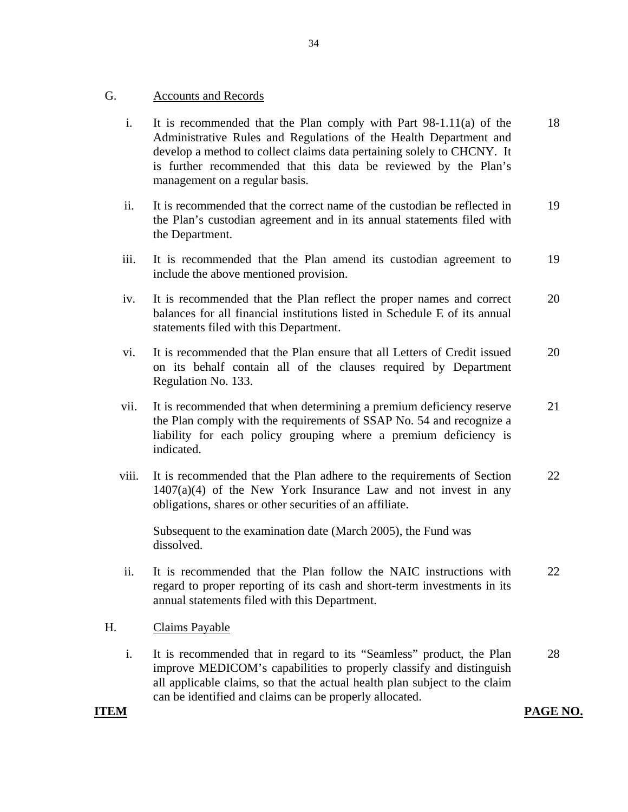#### **Accounts and Records**

- G. Accounts and Records<br>i. It is recommended that the Plan comply with Part 98-1.11(a) of the Administrative Rules and Regulations of the Health Department and develop a method to collect claims data pertaining solely to CHCNY. It is further recommended that this data be reviewed by the Plan's management on a regular basis. 18
	- ii. It is recommended that the correct name of the custodian be reflected in the Plan's custodian agreement and in its annual statements filed with the Department. 19
	- iii. It is recommended that the Plan amend its custodian agreement to include the above mentioned provision. 19
	- iv. It is recommended that the Plan reflect the proper names and correct balances for all financial institutions listed in Schedule E of its annual statements filed with this Department. 20
	- vi. It is recommended that the Plan ensure that all Letters of Credit issued on its behalf contain all of the clauses required by Department Regulation No. 133. 20
	- vii. It is recommended that when determining a premium deficiency reserve the Plan comply with the requirements of SSAP No. 54 and recognize a liability for each policy grouping where a premium deficiency is indicated. 21
	- viii. It is recommended that the Plan adhere to the requirements of Section  $1407(a)(4)$  of the New York Insurance Law and not invest in any obligations, shares or other securities of an affiliate. 22

Subsequent to the examination date (March 2005), the Fund was dissolved.

ii. It is recommended that the Plan follow the NAIC instructions with regard to proper reporting of its cash and short-term investments in its annual statements filed with this Department. 22

#### **Claims Payable**

H. Claims Payable<br>i. It is recommended that in regard to its "Seamless" product, the Plan improve MEDICOM's capabilities to properly classify and distinguish all applicable claims, so that the actual health plan subject to the claim can be identified and claims can be properly allocated. 28

#### **ITEM**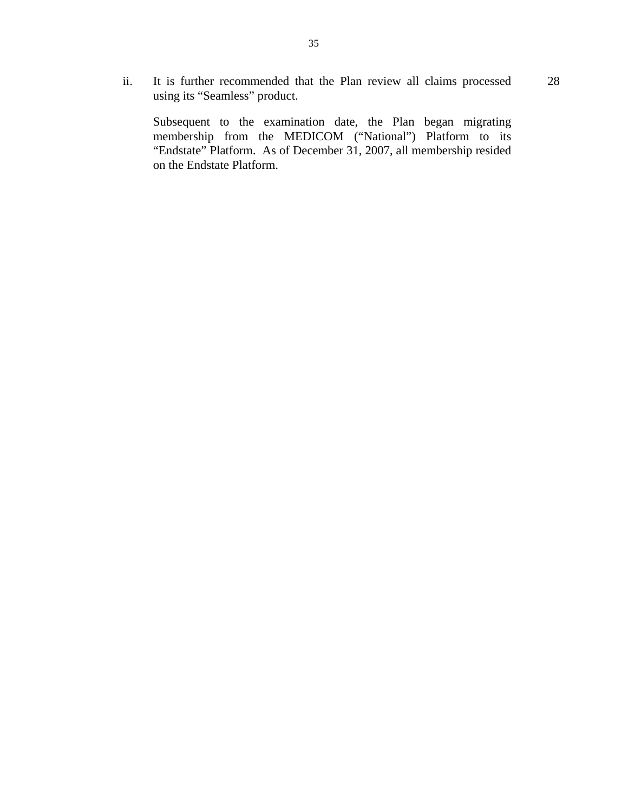28 ii. It is further recommended that the Plan review all claims processed using its "Seamless" product.

Subsequent to the examination date, the Plan began migrating membership from the MEDICOM ("National") Platform to its "Endstate" Platform. As of December 31, 2007, all membership resided on the Endstate Platform.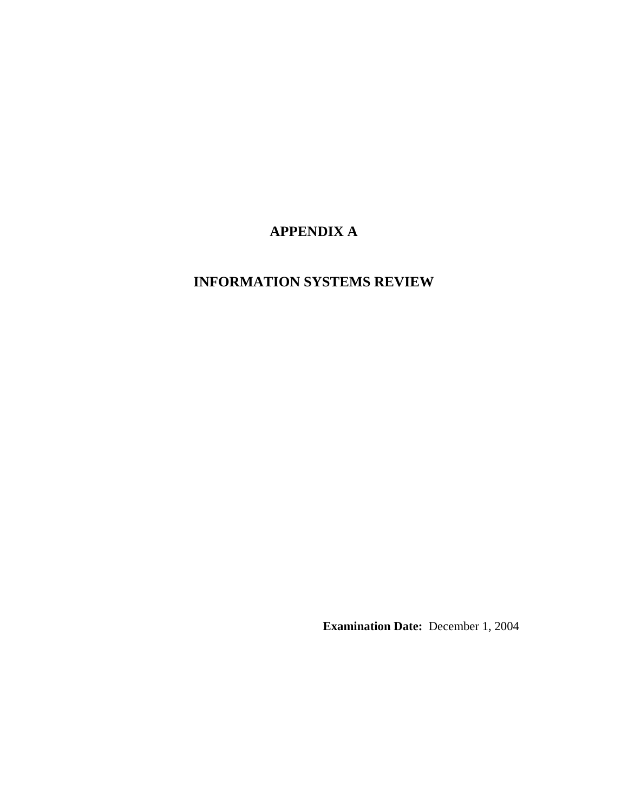# **APPENDIX A**

## **INFORMATION SYSTEMS REVIEW**

**Examination Date:** December 1, 2004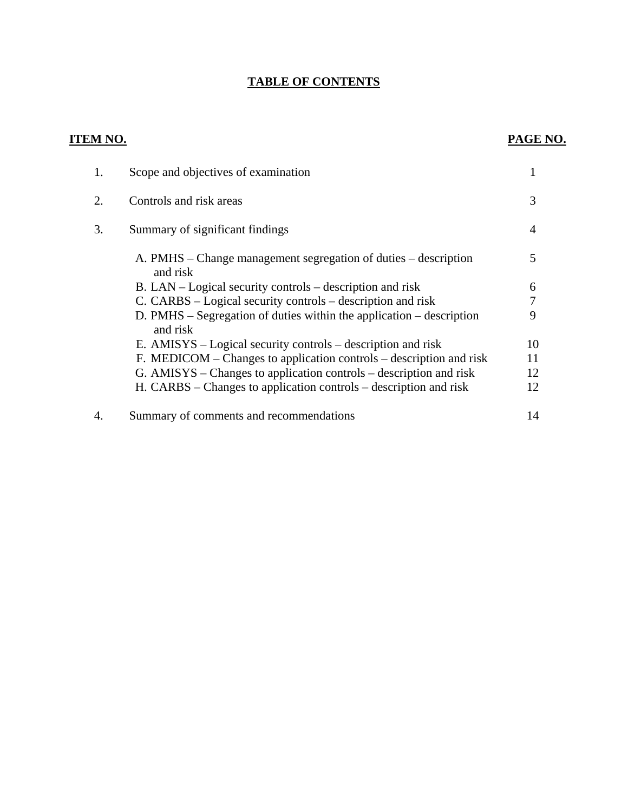## **TABLE OF CONTENTS**

| <b>ITEM NO.</b> |                                                                                    | PAGE NO. |
|-----------------|------------------------------------------------------------------------------------|----------|
| 1.              | Scope and objectives of examination                                                | 1        |
| 2.              | Controls and risk areas                                                            | 3        |
| 3.              | Summary of significant findings                                                    | 4        |
|                 | A. PMHS – Change management segregation of duties – description<br>and risk        | 5        |
|                 | B. LAN – Logical security controls – description and risk                          | 6        |
|                 | C. CARBS – Logical security controls – description and risk                        | 7        |
|                 | $D.$ PMHS – Segregation of duties within the application – description<br>and risk | 9        |
|                 | E. AMISYS – Logical security controls – description and risk                       | 10       |
|                 | F. MEDICOM – Changes to application controls – description and risk                | 11       |
|                 | G. AMISYS – Changes to application controls – description and risk                 | 12       |
|                 | H. CARBS – Changes to application controls – description and risk                  | 12       |
| 4.              | Summary of comments and recommendations                                            | 14       |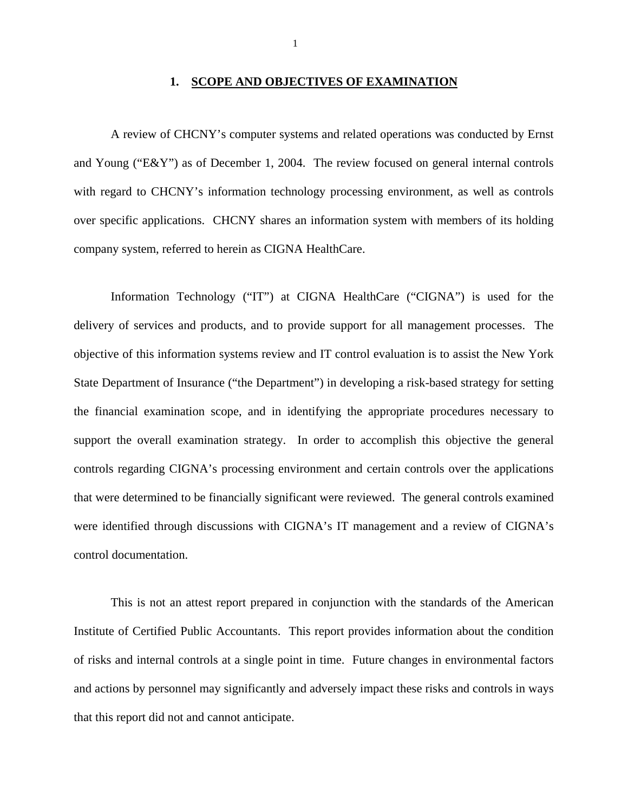#### **1. SCOPE AND OBJECTIVES OF EXAMINATION**

A review of CHCNY's computer systems and related operations was conducted by Ernst and Young ("E&Y") as of December 1, 2004. The review focused on general internal controls with regard to CHCNY's information technology processing environment, as well as controls over specific applications. CHCNY shares an information system with members of its holding company system, referred to herein as CIGNA HealthCare.

Information Technology ("IT") at CIGNA HealthCare ("CIGNA") is used for the delivery of services and products, and to provide support for all management processes. The objective of this information systems review and IT control evaluation is to assist the New York State Department of Insurance ("the Department") in developing a risk-based strategy for setting the financial examination scope, and in identifying the appropriate procedures necessary to support the overall examination strategy. In order to accomplish this objective the general controls regarding CIGNA's processing environment and certain controls over the applications that were determined to be financially significant were reviewed. The general controls examined were identified through discussions with CIGNA's IT management and a review of CIGNA's control documentation.

This is not an attest report prepared in conjunction with the standards of the American Institute of Certified Public Accountants. This report provides information about the condition of risks and internal controls at a single point in time. Future changes in environmental factors and actions by personnel may significantly and adversely impact these risks and controls in ways that this report did not and cannot anticipate.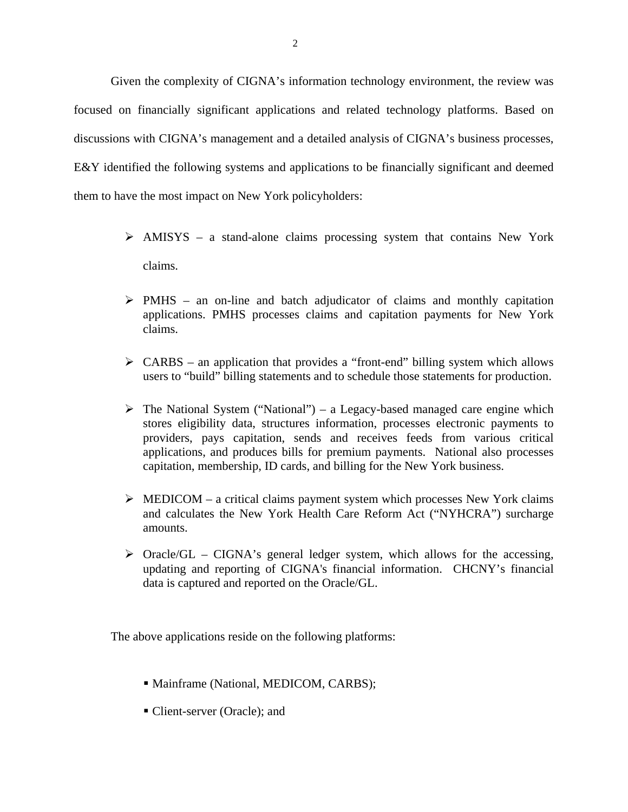Given the complexity of CIGNA's information technology environment, the review was focused on financially significant applications and related technology platforms. Based on discussions with CIGNA's management and a detailed analysis of CIGNA's business processes, E&Y identified the following systems and applications to be financially significant and deemed them to have the most impact on New York policyholders:

- $\triangleright$  AMISYS a stand-alone claims processing system that contains New York claims.
- $\triangleright$  PMHS an on-line and batch adjudicator of claims and monthly capitation applications. PMHS processes claims and capitation payments for New York claims.
- $\triangleright$  CARBS an application that provides a "front-end" billing system which allows users to "build" billing statements and to schedule those statements for production.
- $\triangleright$  The National System ("National") a Legacy-based managed care engine which stores eligibility data, structures information, processes electronic payments to providers, pays capitation, sends and receives feeds from various critical applications, and produces bills for premium payments. National also processes capitation, membership, ID cards, and billing for the New York business.
- $\triangleright$  MEDICOM a critical claims payment system which processes New York claims and calculates the New York Health Care Reform Act ("NYHCRA") surcharge amounts.
- $\triangleright$  Oracle/GL CIGNA's general ledger system, which allows for the accessing, updating and reporting of CIGNA's financial information. CHCNY's financial data is captured and reported on the Oracle/GL.

The above applications reside on the following platforms:

- Mainframe (National, MEDICOM, CARBS);
- Client-server (Oracle); and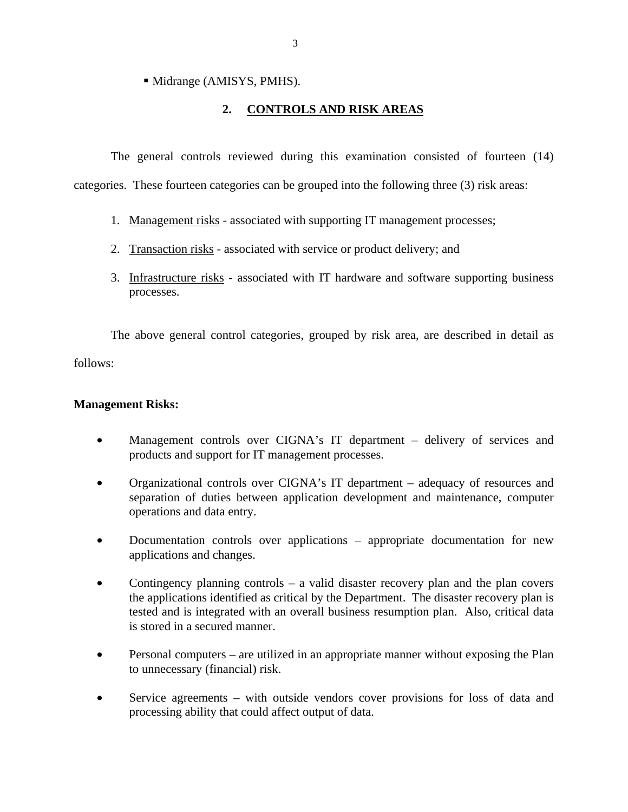• Midrange (AMISYS, PMHS).

## **2. CONTROLS AND RISK AREAS**

The general controls reviewed during this examination consisted of fourteen (14) categories. These fourteen categories can be grouped into the following three (3) risk areas:

- 1. Management risks associated with supporting IT management processes;
- 2. Transaction risks associated with service or product delivery; and
- 3. Infrastructure risks associated with IT hardware and software supporting business processes.

The above general control categories, grouped by risk area, are described in detail as follows:

#### **Management Risks:**

- Management controls over CIGNA's IT department delivery of services and products and support for IT management processes.
- Organizational controls over CIGNA's IT department adequacy of resources and separation of duties between application development and maintenance, computer operations and data entry.
- Documentation controls over applications appropriate documentation for new applications and changes.
- Contingency planning controls a valid disaster recovery plan and the plan covers the applications identified as critical by the Department. The disaster recovery plan is tested and is integrated with an overall business resumption plan. Also, critical data is stored in a secured manner.
- Personal computers are utilized in an appropriate manner without exposing the Plan to unnecessary (financial) risk.
- Service agreements with outside vendors cover provisions for loss of data and processing ability that could affect output of data.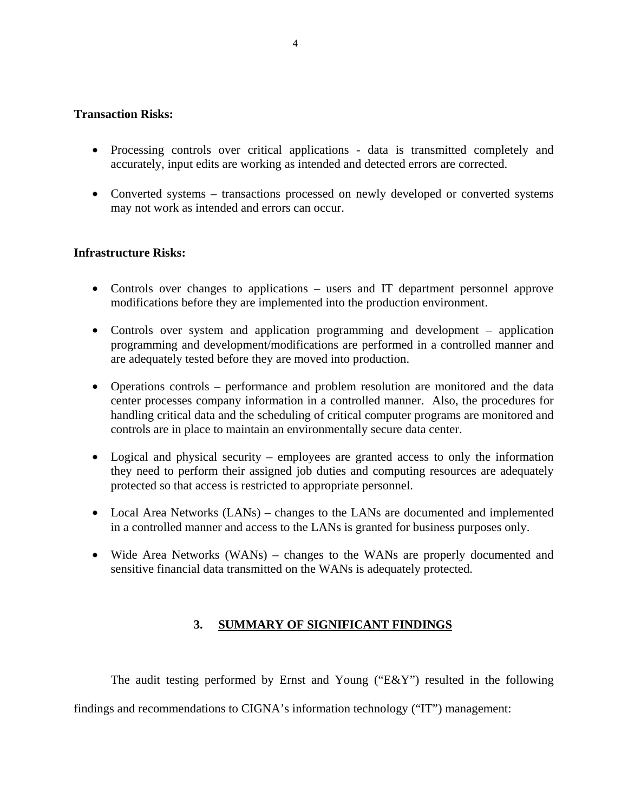#### **Transaction Risks:**

- Processing controls over critical applications data is transmitted completely and accurately, input edits are working as intended and detected errors are corrected.
- Converted systems transactions processed on newly developed or converted systems may not work as intended and errors can occur.

#### **Infrastructure Risks:**

- Controls over changes to applications users and IT department personnel approve modifications before they are implemented into the production environment.
- Controls over system and application programming and development application programming and development/modifications are performed in a controlled manner and are adequately tested before they are moved into production.
- Operations controls performance and problem resolution are monitored and the data center processes company information in a controlled manner. Also, the procedures for handling critical data and the scheduling of critical computer programs are monitored and controls are in place to maintain an environmentally secure data center.
- Logical and physical security employees are granted access to only the information they need to perform their assigned job duties and computing resources are adequately protected so that access is restricted to appropriate personnel.
- Local Area Networks (LANs) changes to the LANs are documented and implemented in a controlled manner and access to the LANs is granted for business purposes only.
- Wide Area Networks (WANs) changes to the WANs are properly documented and sensitive financial data transmitted on the WANs is adequately protected.

#### **3. SUMMARY OF SIGNIFICANT FINDINGS**

The audit testing performed by Ernst and Young ("E&Y") resulted in the following findings and recommendations to CIGNA's information technology ("IT") management: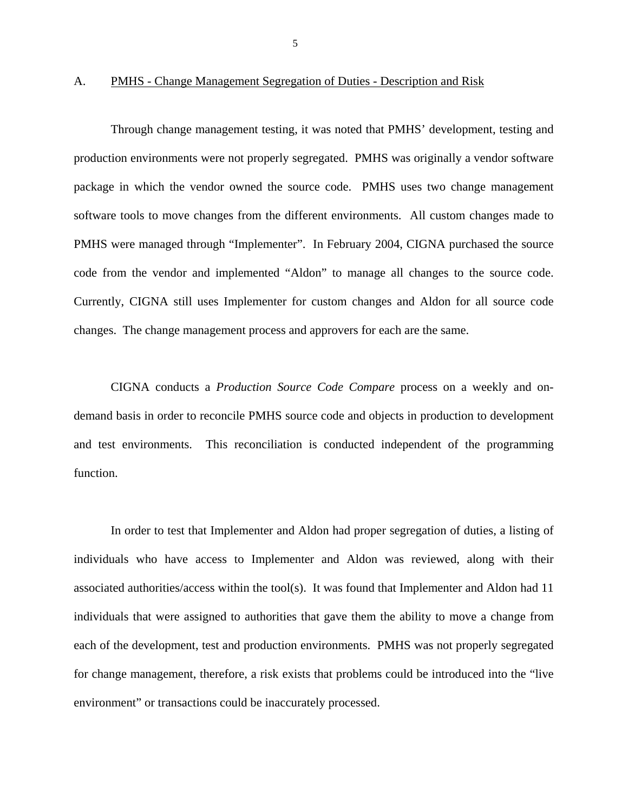#### A. PMHS - Change Management Segregation of Duties - Description and Risk

Through change management testing, it was noted that PMHS' development, testing and production environments were not properly segregated. PMHS was originally a vendor software package in which the vendor owned the source code. PMHS uses two change management software tools to move changes from the different environments. All custom changes made to PMHS were managed through "Implementer". In February 2004, CIGNA purchased the source code from the vendor and implemented "Aldon" to manage all changes to the source code. Currently, CIGNA still uses Implementer for custom changes and Aldon for all source code changes. The change management process and approvers for each are the same.

CIGNA conducts a *Production Source Code Compare* process on a weekly and ondemand basis in order to reconcile PMHS source code and objects in production to development and test environments. This reconciliation is conducted independent of the programming function.

In order to test that Implementer and Aldon had proper segregation of duties, a listing of individuals who have access to Implementer and Aldon was reviewed, along with their associated authorities/access within the tool(s). It was found that Implementer and Aldon had 11 individuals that were assigned to authorities that gave them the ability to move a change from each of the development, test and production environments. PMHS was not properly segregated for change management, therefore, a risk exists that problems could be introduced into the "live environment" or transactions could be inaccurately processed.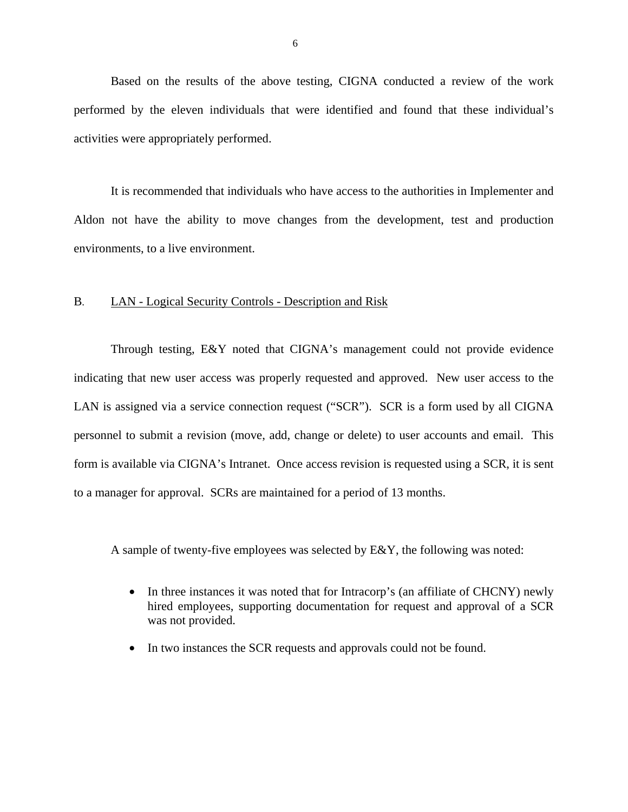Based on the results of the above testing, CIGNA conducted a review of the work performed by the eleven individuals that were identified and found that these individual's activities were appropriately performed.

It is recommended that individuals who have access to the authorities in Implementer and Aldon not have the ability to move changes from the development, test and production environments, to a live environment.

#### B. LAN - Logical Security Controls - Description and Risk

Through testing, E&Y noted that CIGNA's management could not provide evidence indicating that new user access was properly requested and approved. New user access to the LAN is assigned via a service connection request ("SCR"). SCR is a form used by all CIGNA personnel to submit a revision (move, add, change or delete) to user accounts and email. This form is available via CIGNA's Intranet. Once access revision is requested using a SCR, it is sent to a manager for approval. SCRs are maintained for a period of 13 months.

A sample of twenty-five employees was selected by E&Y, the following was noted:

- In three instances it was noted that for Intracorp's (an affiliate of CHCNY) newly hired employees, supporting documentation for request and approval of a SCR was not provided.
- In two instances the SCR requests and approvals could not be found.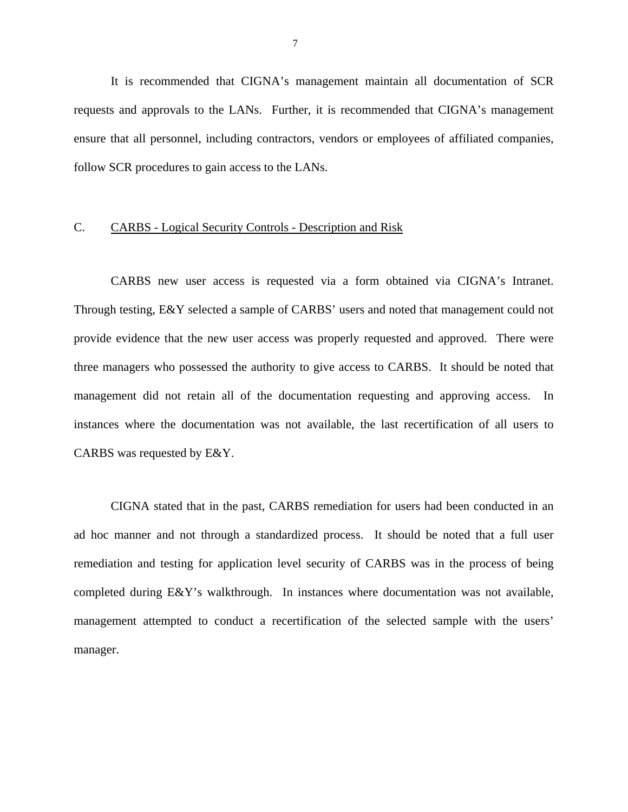It is recommended that CIGNA's management maintain all documentation of SCR requests and approvals to the LANs. Further, it is recommended that CIGNA's management ensure that all personnel, including contractors, vendors or employees of affiliated companies, follow SCR procedures to gain access to the LANs.

#### C. CARBS - Logical Security Controls - Description and Risk

CARBS new user access is requested via a form obtained via CIGNA's Intranet. Through testing, E&Y selected a sample of CARBS' users and noted that management could not provide evidence that the new user access was properly requested and approved. There were three managers who possessed the authority to give access to CARBS. It should be noted that management did not retain all of the documentation requesting and approving access. In instances where the documentation was not available, the last recertification of all users to CARBS was requested by E&Y.

CIGNA stated that in the past, CARBS remediation for users had been conducted in an ad hoc manner and not through a standardized process. It should be noted that a full user remediation and testing for application level security of CARBS was in the process of being completed during E&Y's walkthrough. In instances where documentation was not available, management attempted to conduct a recertification of the selected sample with the users' manager.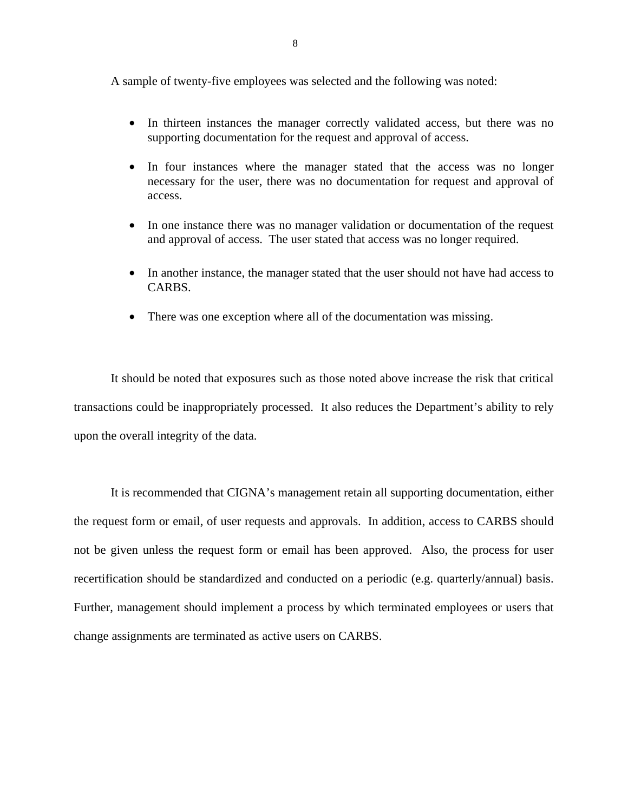A sample of twenty-five employees was selected and the following was noted:

- In thirteen instances the manager correctly validated access, but there was no supporting documentation for the request and approval of access.
- In four instances where the manager stated that the access was no longer necessary for the user, there was no documentation for request and approval of access.
- In one instance there was no manager validation or documentation of the request and approval of access. The user stated that access was no longer required.
- In another instance, the manager stated that the user should not have had access to CARBS.
- There was one exception where all of the documentation was missing.

It should be noted that exposures such as those noted above increase the risk that critical transactions could be inappropriately processed. It also reduces the Department's ability to rely upon the overall integrity of the data.

It is recommended that CIGNA's management retain all supporting documentation, either the request form or email, of user requests and approvals. In addition, access to CARBS should not be given unless the request form or email has been approved. Also, the process for user recertification should be standardized and conducted on a periodic (e.g. quarterly/annual) basis. Further, management should implement a process by which terminated employees or users that change assignments are terminated as active users on CARBS.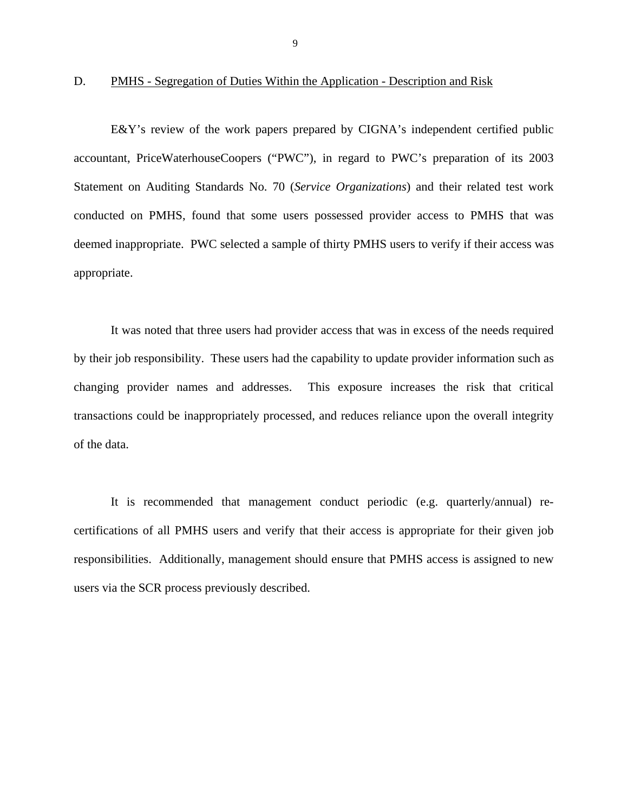#### <span id="page-47-0"></span>D. PMHS - Segregation of Duties Within the Application - Description and Risk

E&Y's review of the work papers prepared by CIGNA's independent certified public accountant, PriceWaterhouseCoopers ("PWC"), in regard to PWC's preparation of its 2003 Statement on Auditing Standards No. 70 (*Service Organizations*) and their related test work conducted on PMHS, found that some users possessed provider access to PMHS that was deemed inappropriate. PWC selected a sample of thirty PMHS users to verify if their access was appropriate.

It was noted that three users had provider access that was in excess of the needs required by their job responsibility. These users had the capability to update provider information such as changing provider names and addresses. This exposure increases the risk that critical transactions could be inappropriately processed, and reduces reliance upon the overall integrity of the data.

It is recommended that management conduct periodic (e.g. quarterly/annual) recertifications of all PMHS users and verify that their access is appropriate for their given job responsibilities. Additionally, management should ensure that PMHS access is assigned to new users via the SCR process previously described.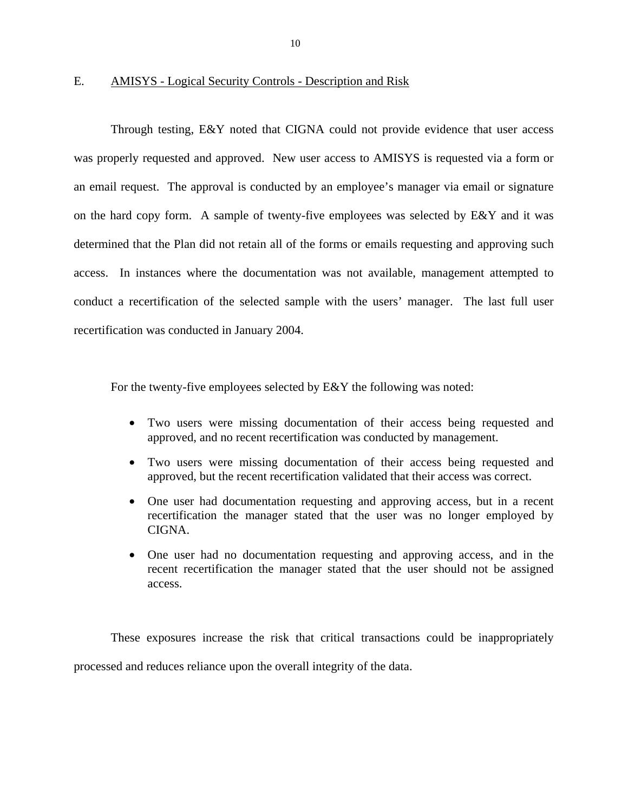#### $E_{\cdot}$ E. AMISYS - Logical Security Controls - Description and Risk

Through testing, E&Y noted that CIGNA could not provide evidence that user access was properly requested and approved. New user access to AMISYS is requested via a form or an email request. The approval is conducted by an employee's manager via email or signature on the hard copy form. A sample of twenty-five employees was selected by E&Y and it was determined that the Plan did not retain all of the forms or emails requesting and approving such access. In instances where the documentation was not available, management attempted to conduct a recertification of the selected sample with the users' manager. The last full user recertification was conducted in January 2004.

For the twenty-five employees selected by E&Y the following was noted:

- Two users were missing documentation of their access being requested and approved, and no recent recertification was conducted by management.
- Two users were missing documentation of their access being requested and approved, but the recent recertification validated that their access was correct.
- One user had documentation requesting and approving access, but in a recent recertification the manager stated that the user was no longer employed by CIGNA.
- One user had no documentation requesting and approving access, and in the recent recertification the manager stated that the user should not be assigned access.

These exposures increase the risk that critical transactions could be inappropriately processed and reduces reliance upon the overall integrity of the data.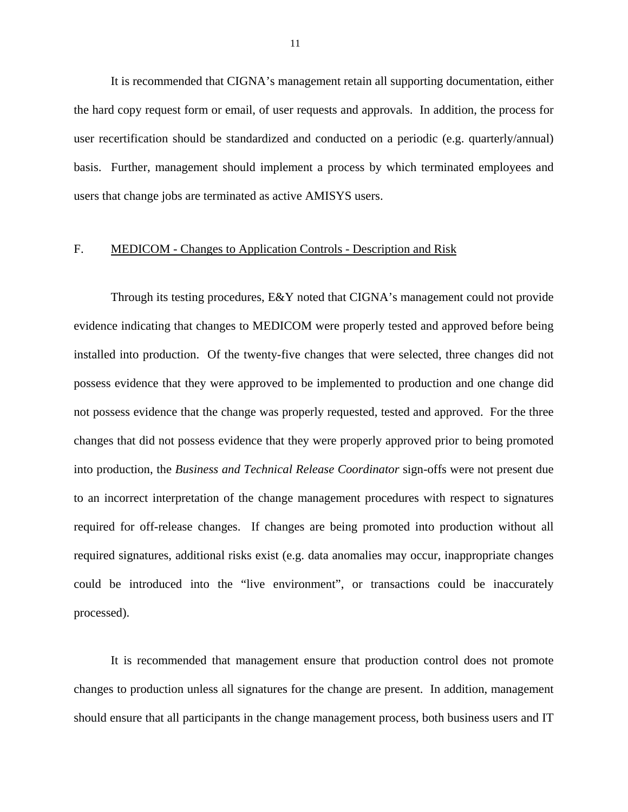It is recommended that CIGNA's management retain all supporting documentation, either the hard copy request form or email, of user requests and approvals. In addition, the process for user recertification should be standardized and conducted on a periodic (e.g. quarterly/annual) basis. Further, management should implement a process by which terminated employees and users that change jobs are terminated as active AMISYS users.

#### F. MEDICOM - Changes to Application Controls - Description and Risk

Through its testing procedures, E&Y noted that CIGNA's management could not provide evidence indicating that changes to MEDICOM were properly tested and approved before being installed into production. Of the twenty-five changes that were selected, three changes did not possess evidence that they were approved to be implemented to production and one change did not possess evidence that the change was properly requested, tested and approved. For the three changes that did not possess evidence that they were properly approved prior to being promoted into production, the *Business and Technical Release Coordinator* sign-offs were not present due to an incorrect interpretation of the change management procedures with respect to signatures required for off-release changes. If changes are being promoted into production without all required signatures, additional risks exist (e.g. data anomalies may occur, inappropriate changes could be introduced into the "live environment", or transactions could be inaccurately processed).

It is recommended that management ensure that production control does not promote changes to production unless all signatures for the change are present. In addition, management should ensure that all participants in the change management process, both business users and IT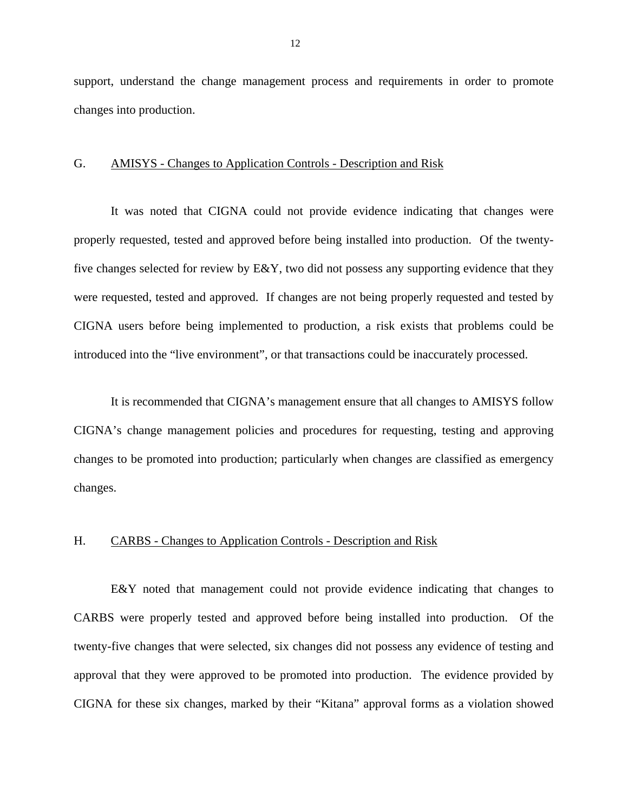support, understand the change management process and requirements in order to promote changes into production.

#### G. AMISYS - Changes to Application Controls - Description and Risk

were requested, tested and approved. If changes are not being properly requested and tested by It was noted that CIGNA could not provide evidence indicating that changes were properly requested, tested and approved before being installed into production. Of the twentyfive changes selected for review by E&Y, two did not possess any supporting evidence that they CIGNA users before being implemented to production, a risk exists that problems could be introduced into the "live environment", or that transactions could be inaccurately processed.

It is recommended that CIGNA's management ensure that all changes to AMISYS follow CIGNA's change management policies and procedures for requesting, testing and approving changes to be promoted into production; particularly when changes are classified as emergency changes.

#### H. CARBS - Changes to Application Controls - Description and Risk

E&Y noted that management could not provide evidence indicating that changes to CARBS were properly tested and approved before being installed into production. Of the twenty-five changes that were selected, six changes did not possess any evidence of testing and approval that they were approved to be promoted into production. The evidence provided by CIGNA for these six changes, marked by their "Kitana" approval forms as a violation showed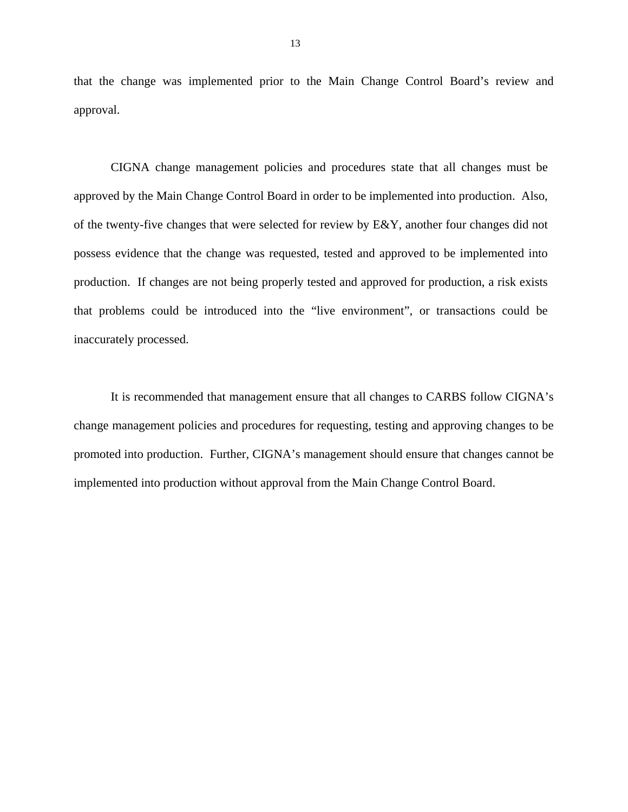that the change was implemented prior to the Main Change Control Board's review and approval.

CIGNA change management policies and procedures state that all changes must be approved by the Main Change Control Board in order to be implemented into production. Also, of the twenty-five changes that were selected for review by E&Y, another four changes did not possess evidence that the change was requested, tested and approved to be implemented into production. If changes are not being properly tested and approved for production, a risk exists that problems could be introduced into the "live environment", or transactions could be inaccurately processed.

It is recommended that management ensure that all changes to CARBS follow CIGNA's change management policies and procedures for requesting, testing and approving changes to be promoted into production. Further, CIGNA's management should ensure that changes cannot be implemented into production without approval from the Main Change Control Board.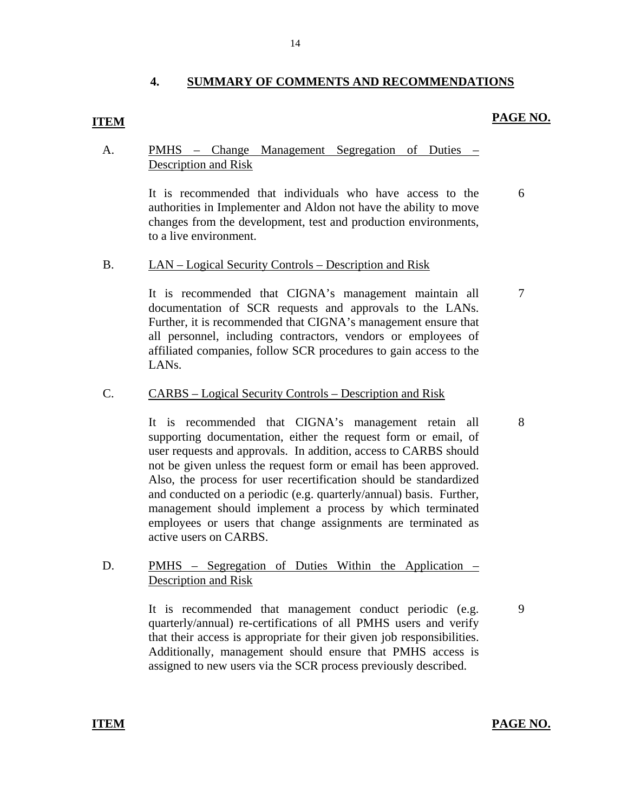#### **4. SUMMARY OF COMMENTS AND RECOMMENDATIONS**

## **ITEM PAGE NO.**

6

7

#### A. PMHS – Change Management Segregation of Duties – Description and Risk

It is recommended that individuals who have access to the authorities in Implementer and Aldon not have the ability to move changes from the development, test and production environments, to a live environment.

# LAN – Logical Security Controls – Description and Risk B. LAN – Logical Security Controls – Description and Risk<br>It is recommended that CIGNA's management maintain all

documentation of SCR requests and approvals to the LANs. Further, it is recommended that CIGNA's management ensure that all personnel, including contractors, vendors or employees of affiliated companies, follow SCR procedures to gain access to the LANs.

# CARBS – Logical Security Controls – Description and Risk C. CARBS – Logical Security Controls – Description and Risk<br>It is recommended that CIGNA's management retain all

supporting documentation, either the request form or email, of user requests and approvals. In addition, access to CARBS should not be given unless the request form or email has been approved. Also, the process for user recertification should be standardized and conducted on a periodic (e.g. quarterly/annual) basis. Further, management should implement a process by which terminated employees or users that change assignments are terminated as active users on CARBS.

#### D. PMHS – Segregation of Duties Within the Application – Description and Risk

It is recommended that management conduct periodic (e.g. quarterly/annual) re-certifications of all PMHS users and verify that their access is appropriate for their given job responsibilities. Additionally, management should ensure that PMHS access is assigned to new users via the SCR process previously described.

#### **ITEM PAGE NO.**

9

14

8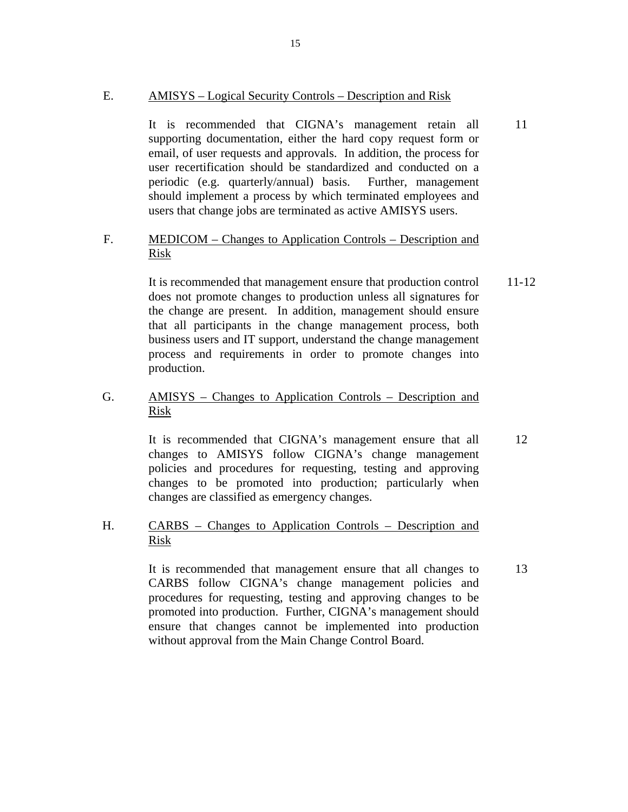#### E. AMISYS – Logical Security Controls – Description and Risk

It is recommended that CIGNA's management retain all supporting documentation, either the hard copy request form or email, of user requests and approvals. In addition, the process for user recertification should be standardized and conducted on a periodic (e.g. quarterly/annual) basis. Further, management should implement a process by which terminated employees and users that change jobs are terminated as active AMISYS users.

#### F. MEDICOM – Changes to Application Controls – Description and Risk

It is recommended that management ensure that production control does not promote changes to production unless all signatures for the change are present. In addition, management should ensure that all participants in the change management process, both business users and IT support, understand the change management process and requirements in order to promote changes into production. 11-12

#### G. AMISYS – Changes to Application Controls – Description and Risk

It is recommended that CIGNA's management ensure that all changes to AMISYS follow CIGNA's change management policies and procedures for requesting, testing and approving changes to be promoted into production; particularly when changes are classified as emergency changes. 12

#### H. CARBS – Changes to Application Controls – Description and Risk

It is recommended that management ensure that all changes to CARBS follow CIGNA's change management policies and procedures for requesting, testing and approving changes to be promoted into production. Further, CIGNA's management should ensure that changes cannot be implemented into production without approval from the Main Change Control Board.

13

11